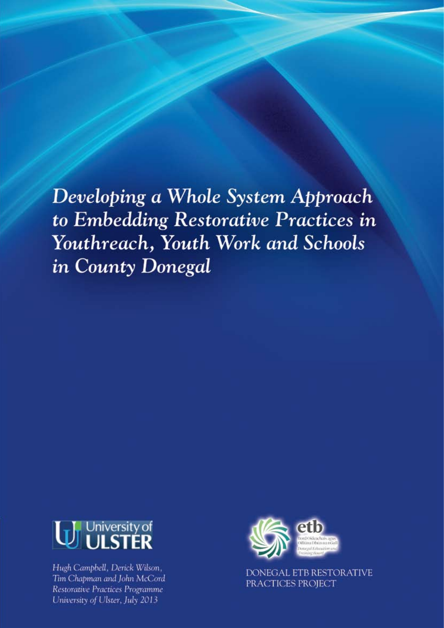Developing a Whole System Approach to Embedding Restorative Practices in Youthreach, Youth Work and Schools in County Donegal



Hugh Campbell, Derick Wilson, Tim Chapman and John McCord Restorative Practices Programme University of Ulster, July 2013



DONEGAL ETB RESTORATIVE PRACTICES PROJECT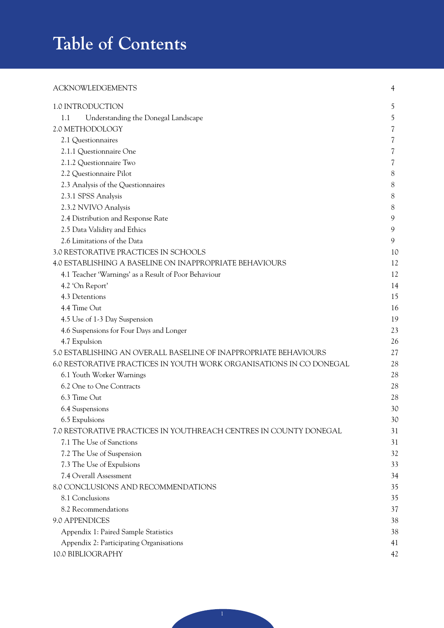# **Table of Contents**

### ACKNOWLEDGEMENTS 4

| 1.0 INTRODUCTION                                                    | 5  |
|---------------------------------------------------------------------|----|
| 1.1<br>Understanding the Donegal Landscape                          | 5  |
| 2.0 METHODOLOGY                                                     | 7  |
| 2.1 Questionnaires                                                  | 7  |
| 2.1.1 Questionnaire One                                             | 7  |
| 2.1.2 Questionnaire Two                                             | 7  |
| 2.2 Questionnaire Pilot                                             | 8  |
| 2.3 Analysis of the Questionnaires                                  | 8  |
| 2.3.1 SPSS Analysis                                                 | 8  |
| 2.3.2 NVIVO Analysis                                                | 8  |
| 2.4 Distribution and Response Rate                                  | 9  |
| 2.5 Data Validity and Ethics                                        | 9  |
| 2.6 Limitations of the Data                                         | 9  |
| 3.0 RESTORATIVE PRACTICES IN SCHOOLS                                | 10 |
| 4.0 ESTABLISHING A BASELINE ON INAPPROPRIATE BEHAVIOURS             | 12 |
| 4.1 Teacher 'Warnings' as a Result of Poor Behaviour                | 12 |
| 4.2 'On Report'                                                     | 14 |
| 4.3 Detentions                                                      | 15 |
| 4.4 Time Out                                                        | 16 |
| 4.5 Use of 1-3 Day Suspension                                       | 19 |
| 4.6 Suspensions for Four Days and Longer                            | 23 |
| 4.7 Expulsion                                                       | 26 |
| 5.0 ESTABLISHING AN OVERALL BASELINE OF INAPPROPRIATE BEHAVIOURS    | 27 |
| 6.0 RESTORATIVE PRACTICES IN YOUTH WORK ORGANISATIONS IN CO DONEGAL | 28 |
| 6.1 Youth Worker Warnings                                           | 28 |
| 6.2 One to One Contracts                                            | 28 |
| 6.3 Time Out                                                        | 28 |
| 6.4 Suspensions                                                     | 3C |
| 6.5 Expulsions                                                      | 3C |
| 7.0 RESTORATIVE PRACTICES IN YOUTHREACH CENTRES IN COUNTY DONEGAI   | 31 |
| 7.1 The Use of Sanctions                                            | 31 |
| 7.2 The Use of Suspension                                           | 32 |
| 7.3 The Use of Expulsions                                           | 33 |
| 7.4 Overall Assessment                                              | 34 |
| 8.0 CONCLUSIONS AND RECOMMENDATIONS                                 | 35 |
| 8.1 Conclusions                                                     | 35 |
| 8.2 Recommendations                                                 | 37 |
| 9.0 APPENDICES                                                      | 38 |
| Appendix 1: Paired Sample Statistics                                | 38 |
| Appendix 2: Participating Organisations                             | 41 |
| 10.0 BIBLIOGRAPHY                                                   | 42 |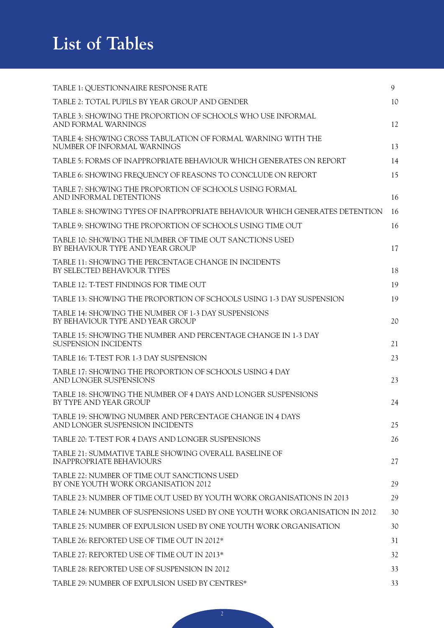## **List of Tables**

| TABLE 1: QUESTIONNAIRE RESPONSE RATE                                                        | 9  |
|---------------------------------------------------------------------------------------------|----|
| TABLE 2: TOTAL PUPILS BY YEAR GROUP AND GENDER                                              | 10 |
| TABLE 3: SHOWING THE PROPORTION OF SCHOOLS WHO USE INFORMAL<br>AND FORMAL WARNINGS          | 12 |
| TABLE 4: SHOWING CROSS TABULATION OF FORMAL WARNING WITH THE<br>NUMBER OF INFORMAL WARNINGS | 13 |
| TABLE 5: FORMS OF INAPPROPRIATE BEHAVIOUR WHICH GENERATES ON REPORT                         | 14 |
| TABLE 6: SHOWING FREQUENCY OF REASONS TO CONCLUDE ON REPORT                                 | 15 |
| TABLE 7: SHOWING THE PROPORTION OF SCHOOLS USING FORMAL<br>AND INFORMAL DETENTIONS          | 16 |
| TABLE 8: SHOWING TYPES OF INAPPROPRIATE BEHAVIOUR WHICH GENERATES DETENTION                 | 16 |
| TABLE 9: SHOWING THE PROPORTION OF SCHOOLS USING TIME OUT                                   | 16 |
| TABLE 10: SHOWING THE NUMBER OF TIME OUT SANCTIONS USED<br>BY BEHAVIOUR TYPE AND YEAR GROUP | 17 |
| TABLE 11: SHOWING THE PERCENTAGE CHANGE IN INCIDENTS<br>BY SELECTED BEHAVIOUR TYPES         | 18 |
| TABLE 12: T-TEST FINDINGS FOR TIME OUT                                                      | 19 |
| TABLE 13: SHOWING THE PROPORTION OF SCHOOLS USING 1-3 DAY SUSPENSION                        | 19 |
| TABLE 14: SHOWING THE NUMBER OF 1-3 DAY SUSPENSIONS<br>BY BEHAVIOUR TYPE AND YEAR GROUP     | 20 |
| TABLE 15: SHOWING THE NUMBER AND PERCENTAGE CHANGE IN 1-3 DAY<br>SUSPENSION INCIDENTS       | 21 |
| TABLE 16: T-TEST FOR 1-3 DAY SUSPENSION                                                     | 23 |
| TABLE 17: SHOWING THE PROPORTION OF SCHOOLS USING 4 DAY<br>AND LONGER SUSPENSIONS           | 23 |
| TABLE 18: SHOWING THE NUMBER OF 4 DAYS AND LONGER SUSPENSIONS<br>BY TYPE AND YEAR GROUP     | 24 |
| TABLE 19: SHOWING NUMBER AND PERCENTAGE CHANGE IN 4 DAYS<br>AND LONGER SUSPENSION INCIDENTS | 25 |
| TABLE 20: T-TEST FOR 4 DAYS AND LONGER SUSPENSIONS                                          | 26 |
| TABLE 21: SUMMATIVE TABLE SHOWING OVERALL BASELINE OF<br><b>INAPPROPRIATE BEHAVIOURS</b>    | 27 |
| TABLE 22: NUMBER OF TIME OUT SANCTIONS USED<br>BY ONE YOUTH WORK ORGANISATION 2012          | 29 |
| TABLE 23: NUMBER OF TIME OUT USED BY YOUTH WORK ORGANISATIONS IN 2013                       | 29 |
| TABLE 24: NUMBER OF SUSPENSIONS USED BY ONE YOUTH WORK ORGANISATION IN 2012                 | 30 |
| TABLE 25: NUMBER OF EXPULSION USED BY ONE YOUTH WORK ORGANISATION                           | 30 |
| TABLE 26: REPORTED USE OF TIME OUT IN 2012*                                                 | 31 |
| TABLE 27: REPORTED USE OF TIME OUT IN 2013*                                                 | 32 |
| TABLE 28: REPORTED USE OF SUSPENSION IN 2012                                                | 33 |
| TABLE 29: NUMBER OF EXPULSION USED BY CENTRES*                                              | 33 |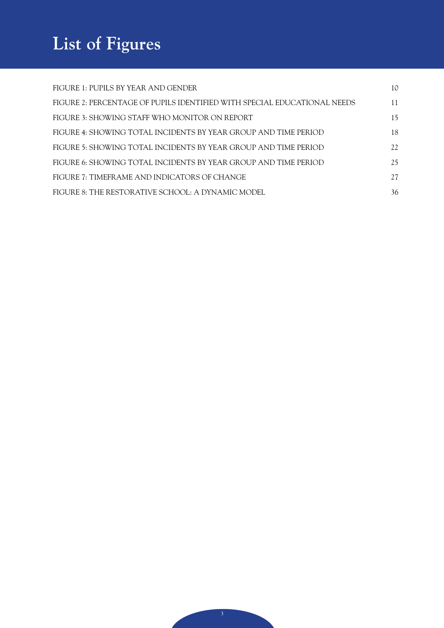# **List of Figures**

| FIGURE 1: PUPILS BY YEAR AND GENDER                                      | 10  |
|--------------------------------------------------------------------------|-----|
| FIGURE 2: PERCENTAGE OF PUPILS IDENTIFIED WITH SPECIAL EDUCATIONAL NEEDS | 11  |
| FIGURE 3: SHOWING STAFF WHO MONITOR ON REPORT                            | 15  |
| FIGURE 4: SHOWING TOTAL INCIDENTS BY YEAR GROUP AND TIME PERIOD          | 18  |
| FIGURE 5: SHOWING TOTAL INCIDENTS BY YEAR GROUP AND TIME PERIOD          | 22. |
| FIGURE 6: SHOWING TOTAL INCIDENTS BY YEAR GROUP AND TIME PERIOD          | 25  |
| FIGURE 7: TIMEFRAME AND INDICATORS OF CHANGE                             | 27  |
| FIGURE 8: THE RESTORATIVE SCHOOL: A DYNAMIC MODEL                        | 36  |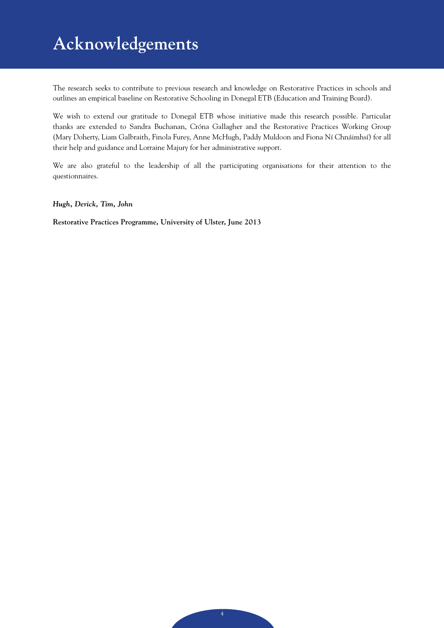## **Acknowledgements**

The research seeks to contribute to previous research and knowledge on Restorative Practices in schools and outlines an empirical baseline on Restorative Schooling in Donegal ETB (Education and Training Board).

We wish to extend our gratitude to Donegal ETB whose initiative made this research possible. Particular thanks are extended to Sandra Buchanan, Cróna Gallagher and the Restorative Practices Working Group (Mary Doherty, Liam Galbraith, Finola Furey, Anne McHugh, Paddy Muldoon and Fiona Ní Chnáimhsí) for all their help and guidance and Lorraine Majury for her administrative support.

We are also grateful to the leadership of all the participating organisations for their attention to the questionnaires.

*Hugh, Derick, Tim, John*

**Restorative Practices Programme, University of Ulster, June 2013**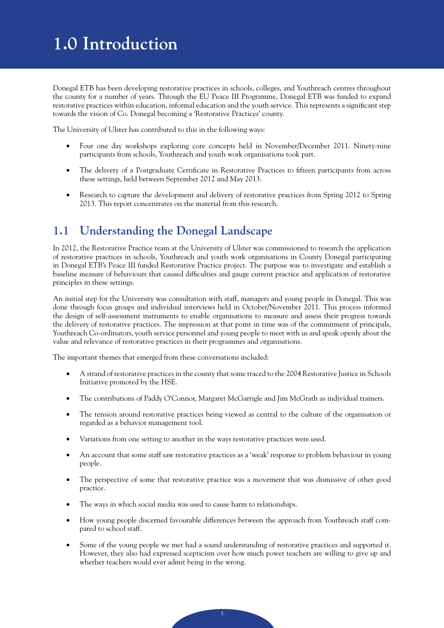## **1.0 Introduction**

Donegal ETB has been developing restorative practices in schools, colleges, and Youthreach centres throughout the county for a number of years. Through the EU Peace III Programme, Donegal ETB was funded to expand restorative practices within education, informal education and the youth service. This represents a significant step towards the vision of Co. Donegal becoming a 'Restorative Practices' county.

The University of Ulster has contributed to this in the following ways:

- Four one day workshops exploring core concepts held in November/December 2011. Ninety-nine participants from schools, Youthreach and youth work organisations took part.
- The delivery of a Postgraduate Certificate in Restorative Practices to fifteen participants from across these settings, held between September 2012 and May 2013.
- • Research to capture the development and delivery of restorative practices from Spring 2012 to Spring 2013. This report concentrates on the material from this research.

## **1.1 Understanding the Donegal Landscape**

In 2012, the Restorative Practice team at the University of Ulster was commissioned to research the application of restorative practices in schools, Youthreach and youth work organisations in County Donegal participating in Donegal ETB's Peace III funded Restorative Practice project. The purpose was to investigate and establish a baseline measure of behaviours that caused difficulties and gauge current practice and application of restorative principles in these settings.

An initial step for the University was consultation with staff, managers and young people in Donegal. This was done through focus groups and individual interviews held in October/November 2011. This process informed the design of self-assessment instruments to enable organisations to measure and assess their progress towards the delivery of restorative practices. The impression at that point in time was of the commitment of principals, Youthreach Co-ordinators, youth service personnel and young people to meet with us and speak openly about the value and relevance of restorative practices in their programmes and organisations.

The important themes that emerged from these conversations included:

- • A strand of restorative practices in the county that some traced to the 2004 Restorative Justice in Schools Initiative promoted by the HSE.
- The contributions of Paddy O'Connor, Margaret McGarrigle and Jim McGrath as individual trainers.
- The tension around restorative practices being viewed as central to the culture of the organisation or regarded as a behavior management tool.
- Variations from one setting to another in the ways restorative practices were used.
- An account that some staff saw restorative practices as a 'weak' response to problem behaviour in young people.
- The perspective of some that restorative practice was a movement that was dismissive of other good practice.
- The ways in which social media was used to cause harm to relationships.
- How young people discerned favourable differences between the approach from Youthreach staff compared to school staff.
- Some of the young people we met had a sound understanding of restorative practices and supported it. However, they also had expressed scepticism over how much power teachers are willing to give up and whether teachers would ever admit being in the wrong.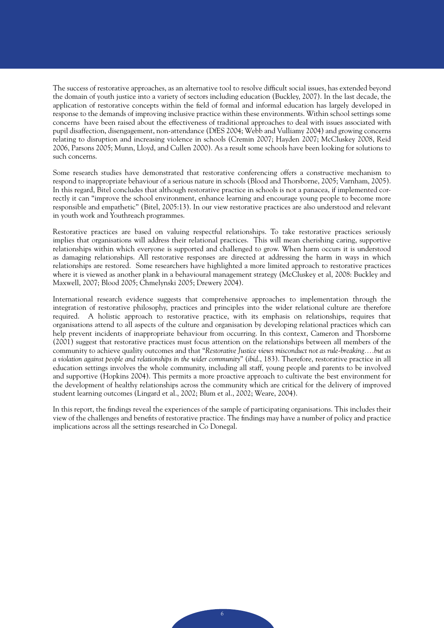The success of restorative approaches, as an alternative tool to resolve difficult social issues, has extended beyond the domain of youth justice into a variety of sectors including education (Buckley, 2007). In the last decade, the application of restorative concepts within the field of formal and informal education has largely developed in response to the demands of improving inclusive practice within these environments. Within school settings some concerns have been raised about the effectiveness of traditional approaches to deal with issues associated with pupil disaffection, disengagement, non-attendance (DfES 2004; Webb and Vulliamy 2004) and growing concerns relating to disruption and increasing violence in schools (Cremin 2007; Hayden 2007; McCluskey 2008, Reid 2006, Parsons 2005; Munn, Lloyd, and Cullen 2000). As a result some schools have been looking for solutions to such concerns.

Some research studies have demonstrated that restorative conferencing offers a constructive mechanism to respond to inappropriate behaviour of a serious nature in schools (Blood and Thorsborne, 2005; Varnham, 2005). In this regard, Bitel concludes that although restorative practice in schools is not a panacea, if implemented correctly it can "improve the school environment, enhance learning and encourage young people to become more responsible and empathetic'' (Bitel, 2005:13). In our view restorative practices are also understood and relevant in youth work and Youthreach programmes.

Restorative practices are based on valuing respectful relationships. To take restorative practices seriously implies that organisations will address their relational practices. This will mean cherishing caring, supportive relationships within which everyone is supported and challenged to grow. When harm occurs it is understood as damaging relationships. All restorative responses are directed at addressing the harm in ways in which relationships are restored. Some researchers have highlighted a more limited approach to restorative practices where it is viewed as another plank in a behavioural management strategy (McCluskey et al, 2008: Buckley and Maxwell, 2007; Blood 2005; Chmelynski 2005; Drewery 2004).

International research evidence suggests that comprehensive approaches to implementation through the integration of restorative philosophy, practices and principles into the wider relational culture are therefore required. A holistic approach to restorative practice, with its emphasis on relationships, requires that organisations attend to all aspects of the culture and organisation by developing relational practices which can help prevent incidents of inappropriate behaviour from occurring. In this context, Cameron and Thorsborne (2001) suggest that restorative practices must focus attention on the relationships between all members of the community to achieve quality outcomes and that "*Restorative Justice views misconduct not as rule-breaking….but as a violation against people and relationships in the wider community*" (*ibid*., 183). Therefore, restorative practice in all education settings involves the whole community, including all staff, young people and parents to be involved and supportive (Hopkins 2004). This permits a more proactive approach to cultivate the best environment for the development of healthy relationships across the community which are critical for the delivery of improved student learning outcomes (Lingard et al., 2002; Blum et al., 2002; Weare, 2004).

In this report, the findings reveal the experiences of the sample of participating organisations. This includes their view of the challenges and benefits of restorative practice. The findings may have a number of policy and practice implications across all the settings researched in Co Donegal.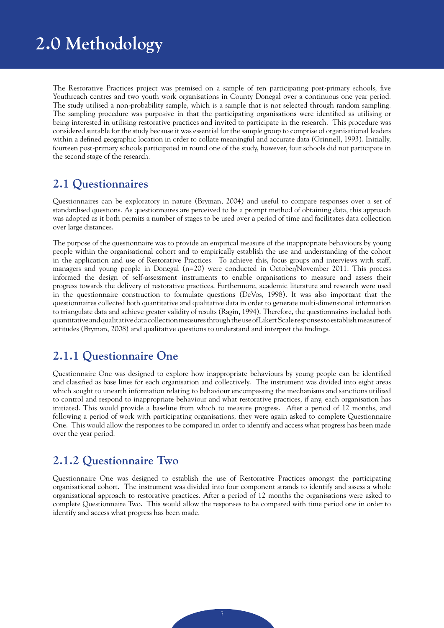## **2.0 Methodology**

The Restorative Practices project was premised on a sample of ten participating post-primary schools, five Youthreach centres and two youth work organisations in County Donegal over a continuous one year period. The study utilised a non-probability sample, which is a sample that is not selected through random sampling. The sampling procedure was purposive in that the participating organisations were identified as utilising or being interested in utilising restorative practices and invited to participate in the research. This procedure was considered suitable for the study because it was essential for the sample group to comprise of organisational leaders within a defined geographic location in order to collate meaningful and accurate data (Grinnell, 1993). Initially, fourteen post-primary schools participated in round one of the study, however, four schools did not participate in the second stage of the research.

## **2.1 Questionnaires**

Questionnaires can be exploratory in nature (Bryman, 2004) and useful to compare responses over a set of standardised questions. As questionnaires are perceived to be a prompt method of obtaining data, this approach was adopted as it both permits a number of stages to be used over a period of time and facilitates data collection over large distances.

The purpose of the questionnaire was to provide an empirical measure of the inappropriate behaviours by young people within the organisational cohort and to empirically establish the use and understanding of the cohort in the application and use of Restorative Practices. To achieve this, focus groups and interviews with staff, managers and young people in Donegal (n=20) were conducted in October/November 2011. This process informed the design of self-assessment instruments to enable organisations to measure and assess their progress towards the delivery of restorative practices. Furthermore, academic literature and research were used in the questionnaire construction to formulate questions (DeVos, 1998). It was also important that the questionnaires collected both quantitative and qualitative data in order to generate multi-dimensional information to triangulate data and achieve greater validity of results (Ragin, 1994). Therefore, the questionnaires included both quantitative and qualitative data collection measures through the use of Likert Scale responses to establish measures of attitudes (Bryman, 2008) and qualitative questions to understand and interpret the findings.

## **2.1.1 Questionnaire One**

Questionnaire One was designed to explore how inappropriate behaviours by young people can be identified and classified as base lines for each organisation and collectively. The instrument was divided into eight areas which sought to unearth information relating to behaviour encompassing the mechanisms and sanctions utilized to control and respond to inappropriate behaviour and what restorative practices, if any, each organisation has initiated. This would provide a baseline from which to measure progress. After a period of 12 months, and following a period of work with participating organisations, they were again asked to complete Questionnaire One. This would allow the responses to be compared in order to identify and access what progress has been made over the year period.

## **2.1.2 Questionnaire Two**

Questionnaire One was designed to establish the use of Restorative Practices amongst the participating organisational cohort. The instrument was divided into four component strands to identify and assess a whole organisational approach to restorative practices. After a period of 12 months the organisations were asked to complete Questionnaire Two. This would allow the responses to be compared with time period one in order to identify and access what progress has been made.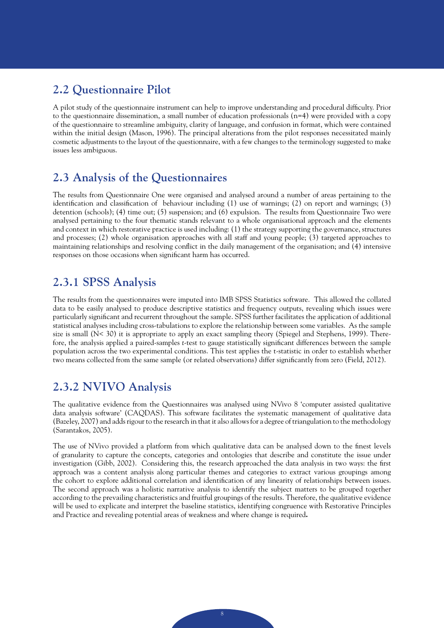## **2.2 Questionnaire Pilot**

A pilot study of the questionnaire instrument can help to improve understanding and procedural difficulty. Prior to the questionnaire dissemination, a small number of education professionals (n=4) were provided with a copy of the questionnaire to streamline ambiguity, clarity of language, and confusion in format, which were contained within the initial design (Mason, 1996). The principal alterations from the pilot responses necessitated mainly cosmetic adjustments to the layout of the questionnaire, with a few changes to the terminology suggested to make issues less ambiguous.

## **2.3 Analysis of the Questionnaires**

The results from Questionnaire One were organised and analysed around a number of areas pertaining to the identification and classification of behaviour including (1) use of warnings; (2) on report and warnings; (3) detention (schools); (4) time out; (5) suspension; and (6) expulsion. The results from Questionnaire Two were analysed pertaining to the four thematic stands relevant to a whole organisational approach and the elements and context in which restorative practice is used including: (1) the strategy supporting the governance, structures and processes; (2) whole organisation approaches with all staff and young people; (3) targeted approaches to maintaining relationships and resolving conflict in the daily management of the organisation; and (4) intensive responses on those occasions when significant harm has occurred.

## **2.3.1 SPSS Analysis**

The results from the questionnaires were imputed into IMB SPSS Statistics software. This allowed the collated data to be easily analysed to produce descriptive statistics and frequency outputs, revealing which issues were particularly significant and recurrent throughout the sample. SPSS further facilitates the application of additional statistical analyses including cross-tabulations to explore the relationship between some variables. As the sample size is small (N< 30) it is appropriate to apply an exact sampling theory (Spiegel and Stephens, 1999). Therefore, the analysis applied a paired-samples *t*-test to gauge statistically significant differences between the sample population across the two experimental conditions. This test applies the t-statistic in order to establish whether two means collected from the same sample (or related observations) differ significantly from zero (Field, 2012).

## **2.3.2 NVIVO Analysis**

The qualitative evidence from the Questionnaires was analysed using NVivo 8 'computer assisted qualitative data analysis software' (CAQDAS). This software facilitates the systematic management of qualitative data (Bazeley, 2007) and adds rigour to the research in that it also allows for a degree of triangulation to the methodology (Sarantakos, 2005).

The use of NVivo provided a platform from which qualitative data can be analysed down to the finest levels of granularity to capture the concepts, categories and ontologies that describe and constitute the issue under investigation (Gibb, 2002). Considering this, the research approached the data analysis in two ways: the first approach was a content analysis along particular themes and categories to extract various groupings among the cohort to explore additional correlation and identification of any linearity of relationships between issues. The second approach was a holistic narrative analysis to identify the subject matters to be grouped together according to the prevailing characteristics and fruitful groupings of the results. Therefore, the qualitative evidence will be used to explicate and interpret the baseline statistics, identifying congruence with Restorative Principles and Practice and revealing potential areas of weakness and where change is required**.**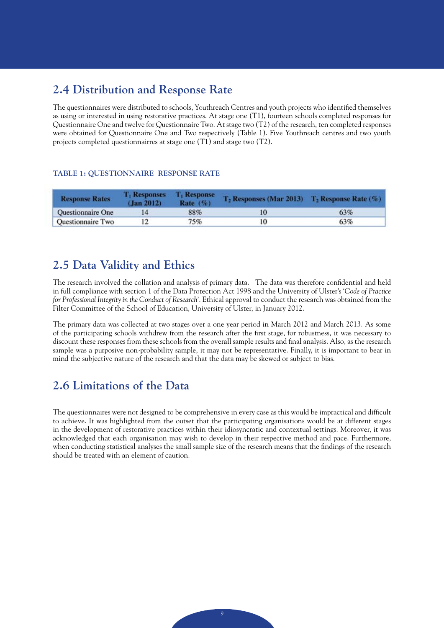## **2.4 Distribution and Response Rate**

The questionnaires were distributed to schools, Youthreach Centres and youth projects who identified themselves as using or interested in using restorative practices. At stage one (T1), fourteen schools completed responses for Questionnaire One and twelve for Questionnaire Two. At stage two (T2) of the research, ten completed responses were obtained for Questionnaire One and Two respectively (Table 1). Five Youthreach centres and two youth projects completed questionnairres at stage one (T1) and stage two (T2).

### **TABLE 1: QUESTIONNAIRE RESPONSE RATE**

| <b>Response Rates</b>    | <b>T</b> <sub>t</sub> Responses<br>(Jan 2012) | <b>T</b> <sub>i</sub> Response<br>Rate $(\%)$ | $T_2$ Responses (Mar 2013) $T_2$ Response Rate (%) |     |
|--------------------------|-----------------------------------------------|-----------------------------------------------|----------------------------------------------------|-----|
| <b>Ouestionnaire One</b> |                                               | 88%                                           | 10                                                 | 63% |
| Questionnaire Two        |                                               | 75%                                           |                                                    | 63% |

## **2.5 Data Validity and Ethics**

The research involved the collation and analysis of primary data. The data was therefore confidential and held in full compliance with section 1 of the Data Protection Act 1998 and the University of Ulster's '*Code of Practice for Professional Integrity in the Conduct of Research*'. Ethical approval to conduct the research was obtained from the Filter Committee of the School of Education, University of Ulster, in January 2012.

The primary data was collected at two stages over a one year period in March 2012 and March 2013. As some of the participating schools withdrew from the research after the first stage, for robustness, it was necessary to discount these responses from these schools from the overall sample results and final analysis. Also, as the research sample was a purposive non-probability sample, it may not be representative. Finally, it is important to bear in mind the subjective nature of the research and that the data may be skewed or subject to bias.

## **2.6 Limitations of the Data**

The questionnaires were not designed to be comprehensive in every case as this would be impractical and difficult to achieve. It was highlighted from the outset that the participating organisations would be at different stages in the development of restorative practices within their idiosyncratic and contextual settings. Moreover, it was acknowledged that each organisation may wish to develop in their respective method and pace. Furthermore, when conducting statistical analyses the small sample size of the research means that the findings of the research should be treated with an element of caution.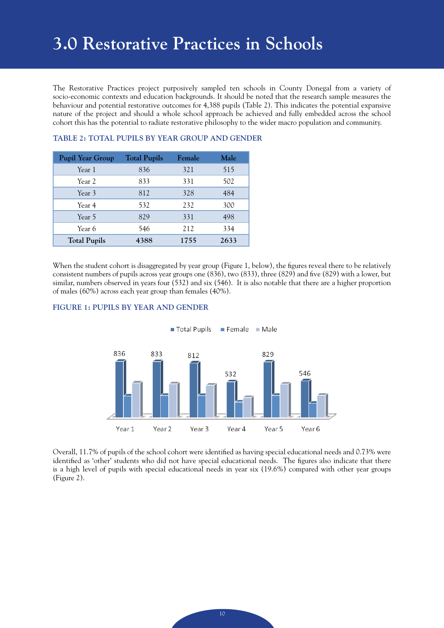## **3.0 Restorative Practices in Schools**

The Restorative Practices project purposively sampled ten schools in County Donegal from a variety of socio-economic contexts and education backgrounds. It should be noted that the research sample measures the behaviour and potential restorative outcomes for 4,388 pupils (Table 2). This indicates the potential expansive nature of the project and should a whole school approach be achieved and fully embedded across the school cohort this has the potential to radiate restorative philosophy to the wider macro population and community.

| <b>Pupil Year Group</b> | <b>Total Pupils</b> | Female | Male |
|-------------------------|---------------------|--------|------|
| Year 1                  | 836                 | 321    | 515  |
| Year 2                  | 833                 | 331    | 502  |
| Year 3                  | 812                 | 328    | 484  |
| Year 4                  | 532                 | 232    | 300  |
| Year 5                  | 829                 | 331    | 498  |
| Year 6                  | 546                 | 212    | 334  |
| <b>Total Pupils</b>     | 4388                | 1755   | 2633 |

#### **TABLE 2: TOTAL PUPILS BY YEAR GROUP AND GENDER**

When the student cohort is disaggregated by year group (Figure 1, below), the figures reveal there to be relatively consistent numbers of pupils across year groups one (836), two (833), three (829) and five (829) with a lower, but similar, numbers observed in years four (532) and six (546). It is also notable that there are a higher proportion of males (60%) across each year group than females (40%).



#### **FIGURE 1: PUPILS BY YEAR AND GENDER**

Overall, 11.7% of pupils of the school cohort were identified as having special educational needs and 0.73% were identified as 'other' students who did not have special educational needs. The figures also indicate that there is a high level of pupils with special educational needs in year six (19.6%) compared with other year groups (Figure 2).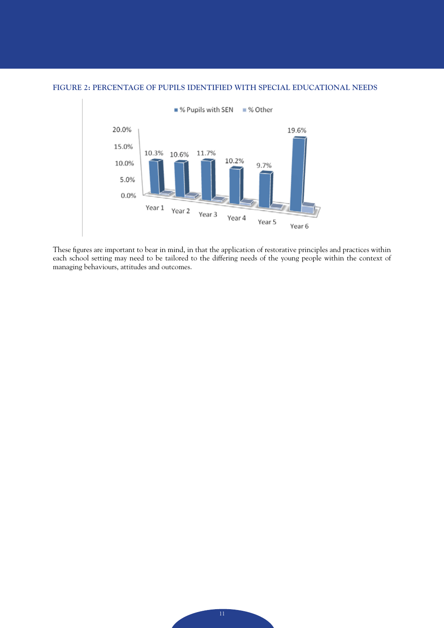

#### **FIGURE 2: PERCENTAGE OF PUPILS IDENTIFIED WITH SPECIAL EDUCATIONAL NEEDS**

These figures are important to bear in mind, in that the application of restorative principles and practices within each school setting may need to be tailored to the differing needs of the young people within the context of managing behaviours, attitudes and outcomes.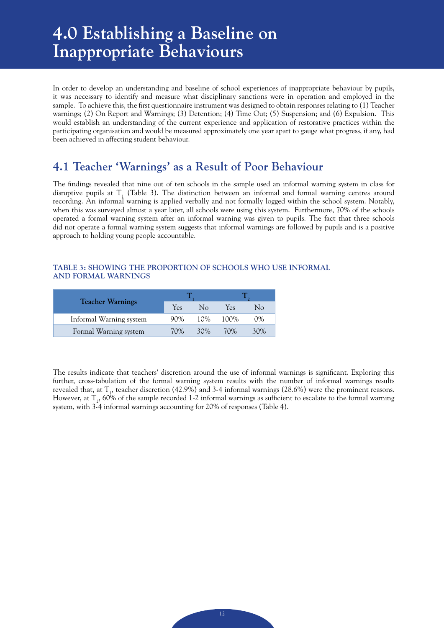## **4.0 Establishing a Baseline on Inappropriate Behaviours**

In order to develop an understanding and baseline of school experiences of inappropriate behaviour by pupils, it was necessary to identify and measure what disciplinary sanctions were in operation and employed in the sample. To achieve this, the first questionnaire instrument was designed to obtain responses relating to (1) Teacher warnings; (2) On Report and Warnings; (3) Detention; (4) Time Out; (5) Suspension; and (6) Expulsion. This would establish an understanding of the current experience and application of restorative practices within the participating organisation and would be measured approximately one year apart to gauge what progress, if any, had been achieved in affecting student behaviour.

## **4.1 Teacher 'Warnings' as a Result of Poor Behaviour**

The findings revealed that nine out of ten schools in the sample used an informal warning system in class for disruptive pupils at  $T_1$  (Table 3). The distinction between an informal and formal warning centres around recording. An informal warning is applied verbally and not formally logged within the school system. Notably, when this was surveyed almost a year later, all schools were using this system. Furthermore, 70% of the schools operated a formal warning system after an informal warning was given to pupils. The fact that three schools did not operate a formal warning system suggests that informal warnings are followed by pupils and is a positive approach to holding young people accountable.

#### **TABLE 3: SHOWING THE PROPORTION OF SCHOOLS WHO USE INFORMAL AND FORMAL WARNINGS**

| <b>Teacher Warnings</b> | Yes    | Nο     | Yes  | No  |
|-------------------------|--------|--------|------|-----|
| Informal Warning system | $90\%$ | $10\%$ | 100% | 0%  |
| Formal Warning system   | 70%    | 30%    | 70%  | 30% |

The results indicate that teachers' discretion around the use of informal warnings is significant. Exploring this further, cross-tabulation of the formal warning system results with the number of informal warnings results revealed that, at  $T_1$ , teacher discretion (42.9%) and 3-4 informal warnings (28.6%) were the prominent reasons. However, at  $T_2$ , 60% of the sample recorded 1-2 informal warnings as sufficient to escalate to the formal warning system, with 3-4 informal warnings accounting for 20% of responses (Table 4).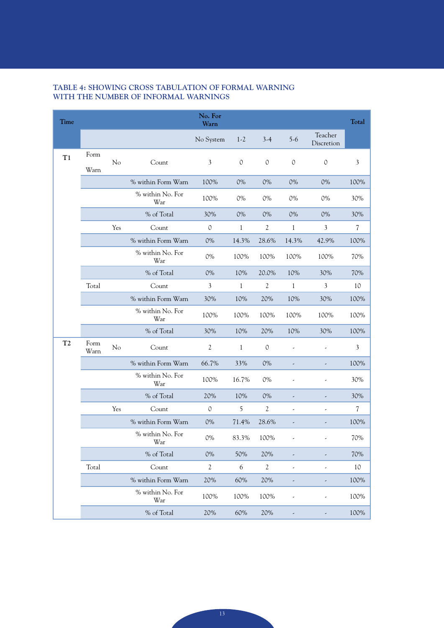| Time           |              |     |                         | No. For<br>Warn |              |                |                |                          | <b>Total</b>   |
|----------------|--------------|-----|-------------------------|-----------------|--------------|----------------|----------------|--------------------------|----------------|
|                |              |     |                         | No System       | $1-2$        | $3-4$          | $5-6$          | Teacher<br>Discretion    |                |
| T1             | Form<br>Warn | No  | Count                   | 3               | 0            | $\mathcal{O}$  | $\mathcal{O}$  | $\circ$                  | $\mathfrak{Z}$ |
|                |              |     | % within Form Warn      | 100%            | 0%           | 0%             | 0%             | 0%                       | 100%           |
|                |              |     | % within No. For<br>War | 100%            | 0%           | 0%             | 0%             | 0%                       | 30%            |
|                |              |     | % of Total              | 30%             | 0%           | 0%             | 0%             | 0%                       | 30%            |
|                |              | Yes | Count                   | $\mathbb O$     | $\mathbf{1}$ | $\mathfrak{2}$ | $\mathbf{1}$   | $\mathfrak{Z}$           | 7              |
|                |              |     | % within Form Warn      | 0%              | 14.3%        | 28.6%          | 14.3%          | 42.9%                    | 100%           |
|                |              |     | % within No. For<br>War | 0%              | 100%         | 100%           | 100%           | 100%                     | 70%            |
|                |              |     | % of Total              | 0%              | 10%          | 20.0%          | 10%            | 30%                      | 70%            |
|                | Total        |     | Count                   | 3               | 1            | $\mathfrak{2}$ | $\mathbf{1}$   | 3                        | 10             |
|                |              |     | % within Form Warn      | 30%             | 10%          | 20%            | 10%            | 30%                      | 100%           |
|                |              |     | % within No. For<br>War | 100%            | 100%         | 100%           | 100%           | 100%                     | 100%           |
|                |              |     | % of Total              | 30%             | 10%          | 20%            | 10%            | 30%                      | 100%           |
| T <sub>2</sub> | Form<br>Warn | No  | Count                   | 2               | $\mathbf{1}$ | $\circ$        |                |                          | 3              |
|                |              |     | % within Form Warn      | 66.7%           | 33%          | 0%             | ,              |                          | 100%           |
|                |              |     | % within No. For<br>War | 100%            | 16.7%        | 0%             |                | $\overline{a}$           | 30%            |
|                |              |     | % of Total              | 20%             | 10%          | 0%             |                |                          | 30%            |
|                |              | Yes | Count                   | $\mathcal{O}$   | 5            | $\overline{2}$ | $\overline{a}$ | $\overline{a}$           | 7              |
|                |              |     | % within Form Warn      | 0%              | 71.4%        | 28.6%          | ,              |                          | 100%           |
|                |              |     | % within No. For<br>War | 0%              | 83.3%        | 100%           | $\overline{a}$ |                          | 70%            |
|                |              |     | % of Total              | 0%              | 50%          | 20%            |                |                          | 70%            |
|                | Total        |     | Count                   | $\sqrt{2}$      | 6            | $\sqrt{2}$     | $\overline{a}$ | $\overline{\phantom{a}}$ | 10             |
|                |              |     | % within Form Warn      | 20%             | 60%          | 20%            |                |                          | 100%           |
|                |              |     | % within No. For<br>War | 100%            | 100%         | 100%           |                |                          | 100%           |
|                |              |     | % of Total              | 20%             | 60%          | 20%            |                |                          | 100%           |

### **TABLE 4: SHOWING CROSS TABULATION OF FORMAL WARNING WITH THE NUMBER OF INFORMAL WARNINGS**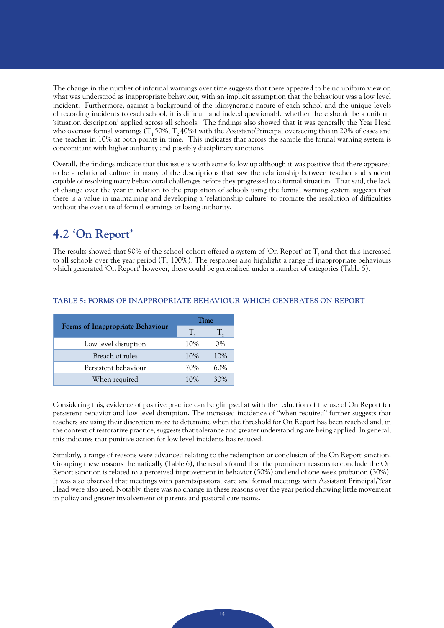The change in the number of informal warnings over time suggests that there appeared to be no uniform view on what was understood as inappropriate behaviour, with an implicit assumption that the behaviour was a low level incident. Furthermore, against a background of the idiosyncratic nature of each school and the unique levels of recording incidents to each school, it is difficult and indeed questionable whether there should be a uniform 'situation description' applied across all schools. The findings also showed that it was generally the Year Head who oversaw formal warnings  $(T, 50\%, T, 40\%)$  with the Assistant/Principal overseeing this in 20% of cases and the teacher in 10% at both points in time. This indicates that across the sample the formal warning system is concomitant with higher authority and possibly disciplinary sanctions.

Overall, the findings indicate that this issue is worth some follow up although it was positive that there appeared to be a relational culture in many of the descriptions that saw the relationship between teacher and student capable of resolving many behavioural challenges before they progressed to a formal situation. That said, the lack of change over the year in relation to the proportion of schools using the formal warning system suggests that there is a value in maintaining and developing a 'relationship culture' to promote the resolution of difficulties without the over use of formal warnings or losing authority.

## **4.2 'On Report'**

The results showed that 90% of the school cohort offered a system of 'On Report' at  $T_1$  and that this increased to all schools over the year period  $(T<sub>2</sub> 100%)$ . The responses also highlight a range of inappropriate behaviours which generated 'On Report' however, these could be generalized under a number of categories (Table 5).

|                                  | Time   |       |  |
|----------------------------------|--------|-------|--|
| Forms of Inappropriate Behaviour | T.     |       |  |
| Low level disruption             | 10%    | $0\%$ |  |
| Breach of rules                  | 10%    | 10%   |  |
| Persistent behaviour             | 70%    | 60%   |  |
| When required                    | $10\%$ | 30%   |  |

#### **TABLE 5: FORMS OF INAPPROPRIATE BEHAVIOUR WHICH GENERATES ON REPORT**

Considering this, evidence of positive practice can be glimpsed at with the reduction of the use of On Report for persistent behavior and low level disruption. The increased incidence of "when required" further suggests that teachers are using their discretion more to determine when the threshold for On Report has been reached and, in the context of restorative practice, suggests that tolerance and greater understanding are being applied. In general, this indicates that punitive action for low level incidents has reduced.

Similarly, a range of reasons were advanced relating to the redemption or conclusion of the On Report sanction. Grouping these reasons thematically (Table 6), the results found that the prominent reasons to conclude the On Report sanction is related to a perceived improvement in behavior (50%) and end of one week probation (30%). It was also observed that meetings with parents/pastoral care and formal meetings with Assistant Principal/Year Head were also used. Notably, there was no change in these reasons over the year period showing little movement in policy and greater involvement of parents and pastoral care teams.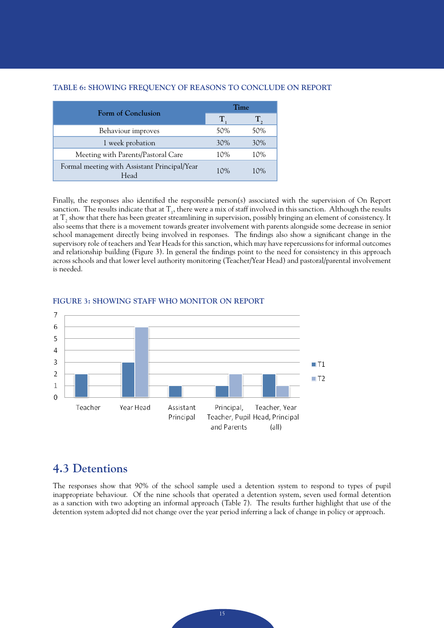#### **TABLE 6: SHOWING FREQUENCY OF REASONS TO CONCLUDE ON REPORT**

| Form of Conclusion                                   | Time |     |  |
|------------------------------------------------------|------|-----|--|
|                                                      | Т    |     |  |
| Behaviour improves                                   | 50%  | 50% |  |
| 1 week probation                                     | 30%  | 30% |  |
| Meeting with Parents/Pastoral Care                   | 10%  | 10% |  |
| Formal meeting with Assistant Principal/Year<br>Head | 10%  | 10% |  |

Finally, the responses also identified the responsible person(s) associated with the supervision of On Report sanction. The results indicate that at  $T_1$ , there were a mix of staff involved in this sanction. Although the results at  ${\rm T_2}$  show that there has been greater streamlining in supervision, possibly bringing an element of consistency. It also seems that there is a movement towards greater involvement with parents alongside some decrease in senior school management directly being involved in responses. The findings also show a significant change in the supervisory role of teachers and Year Heads for this sanction, which may have repercussions for informal outcomes and relationship building (Figure 3). In general the findings point to the need for consistency in this approach across schools and that lower level authority monitoring (Teacher/Year Head) and pastoral/parental involvement is needed.



#### **FIGURE 3: SHOWING STAFF WHO MONITOR ON REPORT**

## **4.3 Detentions**

The responses show that 90% of the school sample used a detention system to respond to types of pupil inappropriate behaviour. Of the nine schools that operated a detention system, seven used formal detention as a sanction with two adopting an informal approach (Table 7). The results further highlight that use of the detention system adopted did not change over the year period inferring a lack of change in policy or approach.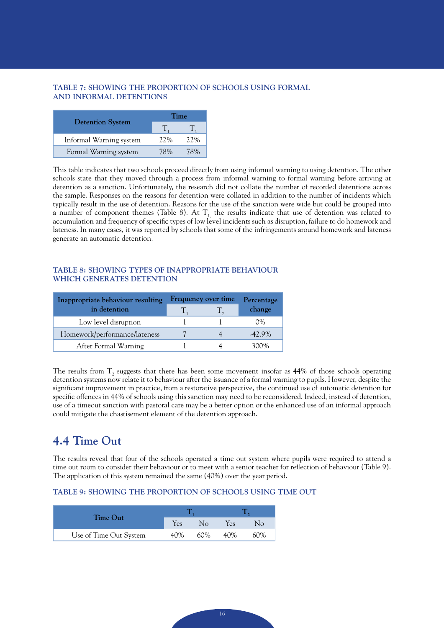#### **TABLE 7: SHOWING THE PROPORTION OF SCHOOLS USING FORMAL AND INFORMAL DETENTIONS**

|                         | Time |     |  |  |
|-------------------------|------|-----|--|--|
| <b>Detention System</b> |      |     |  |  |
| Informal Warning system | 22%  | 22% |  |  |
| Formal Warning system   | 78%  | 78% |  |  |

This table indicates that two schools proceed directly from using informal warning to using detention. The other schools state that they moved through a process from informal warning to formal warning before arriving at detention as a sanction. Unfortunately, the research did not collate the number of recorded detentions across the sample. Responses on the reasons for detention were collated in addition to the number of incidents which typically result in the use of detention. Reasons for the use of the sanction were wide but could be grouped into a number of component themes (Table 8). At  $T<sub>1</sub>$ , the results indicate that use of detention was related to accumulation and frequency of specific types of low level incidents such as disruption, failure to do homework and lateness. In many cases, it was reported by schools that some of the infringements around homework and lateness generate an automatic detention.

#### **TABLE 8: SHOWING TYPES OF INAPPROPRIATE BEHAVIOUR WHICH GENERATES DETENTION**

| Inappropriate behaviour resulting | Frequency over time | Percentage |           |
|-----------------------------------|---------------------|------------|-----------|
| in detention                      |                     |            | change    |
| Low level disruption              |                     |            | 0%        |
| Homework/performance/lateness     |                     |            | $-42.9\%$ |
| After Formal Warning              |                     |            | 300%      |

The results from  $T_2$  suggests that there has been some movement insofar as 44% of those schools operating detention systems now relate it to behaviour after the issuance of a formal warning to pupils. However, despite the significant improvement in practice, from a restorative perspective, the continued use of automatic detention for specific offences in 44% of schools using this sanction may need to be reconsidered. Indeed, instead of detention, use of a timeout sanction with pastoral care may be a better option or the enhanced use of an informal approach could mitigate the chastisement element of the detention approach.

## **4.4 Time Out**

The results reveal that four of the schools operated a time out system where pupils were required to attend a time out room to consider their behaviour or to meet with a senior teacher for reflection of behaviour (Table 9). The application of this system remained the same (40%) over the year period.

#### **TABLE 9: SHOWING THE PROPORTION OF SCHOOLS USING TIME OUT**

| Time Out               |     |              |     |     |
|------------------------|-----|--------------|-----|-----|
|                        | Yes | $N_{\Omega}$ | Yes | Nο  |
| Use of Time Out System | 40% | 60%          | 40% | 60% |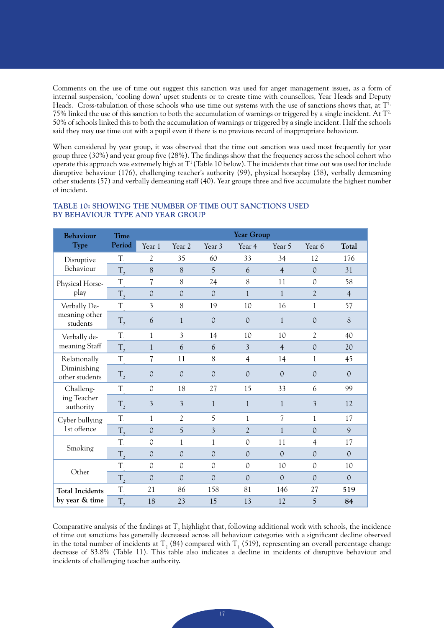Comments on the use of time out suggest this sanction was used for anger management issues, as a form of internal suspension, 'cooling down' upset students or to create time with counsellors, Year Heads and Deputy Heads. Cross-tabulation of those schools who use time out systems with the use of sanctions shows that, at T<sup>1,</sup> 75% linked the use of this sanction to both the accumulation of warnings or triggered by a single incident. At  $T^2$ , 50% of schools linked this to both the accumulation of warnings or triggered by a single incident. Half the schools said they may use time out with a pupil even if there is no previous record of inappropriate behaviour.

When considered by year group, it was observed that the time out sanction was used most frequently for year group three (30%) and year group five (28%). The findings show that the frequency across the school cohort who operate this approach was extremely high at  $T^1$  (Table 10 below). The incidents that time out was used for include disruptive behaviour (176), challenging teacher's authority (99), physical horseplay (58), verbally demeaning other students (57) and verbally demeaning staff (40). Year groups three and five accumulate the highest number of incident.

| Behaviour                     | <b>Time</b> |                          |                |                | Year Group     |                          |                |                |
|-------------------------------|-------------|--------------------------|----------------|----------------|----------------|--------------------------|----------------|----------------|
| Type                          | Period      | Year 1                   | Year 2         | Year 3         | Year 4         | Year 5                   | Year 6         | Total          |
| Disruptive                    | $T_{1}$     | $\overline{2}$           | 35             | 60             | 33             | 34                       | 12             | 176            |
| Behaviour                     | $T_{2}$     | 8                        | 8              | 5              | 6              | $\overline{4}$           | $\mathcal{O}$  | 31             |
| Physical Horse-               | T,          | $\overline{7}$           | 8              | 24             | 8              | 11                       | $\mathcal{O}$  | 58             |
| play                          | $T_{2}$     | $\mathcal{O}$            | $\mathcal{O}$  | $\mathcal{O}$  | $\mathbf{1}$   | $\mathbf{1}$             | $\overline{2}$ | $\overline{4}$ |
| Verbally De-                  | T.          | 3                        | 8              | 19             | 10             | 16                       | $\mathbf{1}$   | 57             |
| meaning other<br>students     | $T_{2}$     | 6                        | $\mathbf{1}$   | $\Omega$       | $\Omega$       | $\mathbf{1}$             | $\Omega$       | 8              |
| Verbally de-                  | $T_{\rm i}$ | $\mathbf{1}$             | $\overline{3}$ | 14             | 10             | 10                       | $\overline{2}$ | 40             |
| meaning Staff                 | $T_{2}$     | $\mathbf{1}$             | 6              | 6              | $\overline{3}$ | $\overline{4}$           | $\mathcal{O}$  | 20             |
| Relationally                  | $T_{1}$     | $\overline{\mathcal{U}}$ | 11             | 8              | $\overline{4}$ | 14                       | 1              | 45             |
| Diminishing<br>other students | $T_{2}$     | $\mathcal{O}$            | $\mathcal{O}$  | $\mathcal{O}$  | $\mathcal{O}$  | $\mathcal{O}$            | $\mathcal{O}$  | $\Omega$       |
| Challeng-                     | $T_{1}$     | $\mathcal{O}$            | 18             | 27             | 15             | 33                       | 6              | 99             |
| ing Teacher<br>authority      | $T_{2}$     | $\overline{3}$           | $\overline{3}$ | $\mathbf{1}$   | $\mathbf{1}$   | $\mathbf{1}$             | $\overline{3}$ | 12             |
| Cyber bullying                | $T_{1}$     | $\mathbf{1}$             | $\mathfrak{2}$ | 5              | 1              | $\overline{\mathcal{L}}$ | $\mathbf{1}$   | 17             |
| 1st offence                   | $T_{2}$     | $\mathcal{O}$            | 5              | $\overline{3}$ | $\overline{2}$ | $\mathbf{1}$             | $\mathcal{O}$  | 9              |
| Smoking                       | T,          | $\mathcal{O}$            | $\mathbf{1}$   | 1              | $\mathcal{O}$  | 11                       | $\overline{4}$ | 17             |
|                               | $T_{2}$     | $\Omega$                 | $\mathcal{O}$  | $\mathcal{O}$  | $\mathcal{O}$  | $\Omega$                 | $\mathcal{O}$  | $\Omega$       |
| Other                         | $T_{1}$     | $\mathcal{O}$            | $\mathcal{O}$  | $\mathcal{O}$  | $\mathcal{O}$  | 10                       | $\mathcal{O}$  | 10             |
|                               | $T_{2}$     | $\Omega$                 | $\Omega$       | $\Omega$       | $\Omega$       | $\Omega$                 | $\Omega$       | $\mathcal{O}$  |
| <b>Total Incidents</b>        | $T_{1}$     | 21                       | 86             | 158            | 81             | 146                      | 27             | 519            |
| by year & time                | $T_{2}$     | 18                       | 23             | 15             | 13             | 12                       | 5              | 84             |

#### **TABLE 10: SHOWING THE NUMBER OF TIME OUT SANCTIONS USED BY BEHAVIOUR TYPE AND YEAR GROUP**

Comparative analysis of the findings at  $T_2$  highlight that, following additional work with schools, the incidence of time out sanctions has generally decreased across all behaviour categories with a significant decline observed in the total number of incidents at  $T_2$  (84) compared with  $T_1$  (519), representing an overall percentage change decrease of 83.8% (Table 11). This table also indicates a decline in incidents of disruptive behaviour and incidents of challenging teacher authority.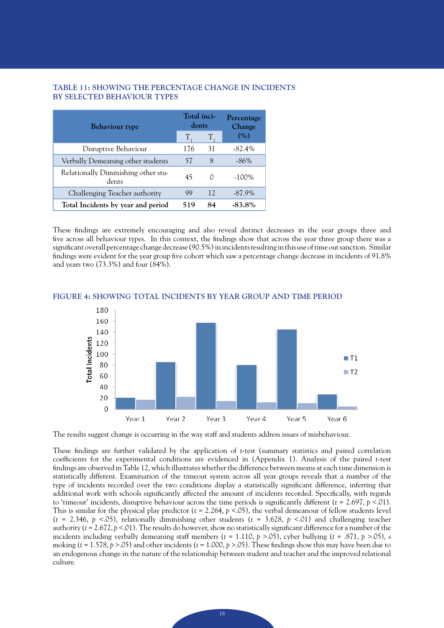#### **TABLE 11: SHOWING THE PERCENTAGE CHANGE IN INCIDENTS BY SELECTED BEHAVIOUR TYPES**

| <b>Behaviour type</b>                        | Total inci-<br>dents |             | Percentage<br>Change |  |
|----------------------------------------------|----------------------|-------------|----------------------|--|
|                                              | $T_{\rm a}$          | $T_{\rm o}$ | (%)                  |  |
| Disruptive Behaviour                         | 176                  | 31          | $-82.4%$             |  |
| Verbally Demeaning other students            | 57                   | 8           | $-86\%$              |  |
| Relationally Diminishing other stu-<br>dents | 45                   | 0           | $-100\%$             |  |
| Challenging Teacher authority                | 99                   | 12          | $-87.9\%$            |  |
| Total Incidents by year and period           | 519                  | 84          | $-83.8\%$            |  |

These findings are extremely encouraging and also reveal distinct decreases in the year groups three and five across all behaviour types. In this context, the findings show that across the year three group there was a significant overall percentage change decrease (90.5%) in incidents resulting in this use of time out sanction. Similar findings were evident for the year group five cohort which saw a percentage change decrease in incidents of 91.8% and years two (73.3%) and four (84%).



#### **FIGURE 4: SHOWING TOTAL INCIDENTS BY YEAR GROUP AND TIME PERIOD**

The results suggest change is occurring in the way staff and students address issues of misbehaviour.

These findings are further validated by the application of *t*-test (summary statistics and paired correlation coefficients for the experimental conditions are evidenced in (Appendix 1). Analysis of the paired *t*-test findings are observed in Table 12, which illustrates whether the difference between means at each time dimension is statistically different. Examination of the timeout system across all year groups reveals that a number of the type of incidents recorded over the two conditions display a statistically significant difference, inferring that additional work with schools significantly affected the amount of incidents recorded. Specifically, with regards to 'timeout' incidents, disruptive behaviour across the time periods is significantly different  $(t = 2.697, p < .01)$ . This is similar for the physical play predictor (*t* = 2.264, *p* <.05), the verbal demeanour of fellow students level (*t* = 2.346, *p* <.05), relationally diminishing other students (*t* = 3.628, *p* <.01) and challenging teacher authority ( $t = 2.672$ ,  $p < 01$ ). The results do however, show no statistically significant difference for a number of the incidents including verbally demeaning staff members ( $t = 1.110$ ,  $p > .05$ ), cyber bullying ( $t = .871$ ,  $p > .05$ ), s moking (*t* = 1.578, *p* >.05) and other incidents (*t* = 1.000, *p* >.05). These findings show this may have been due to an endogenous change in the nature of the relationship between student and teacher and the improved relational culture.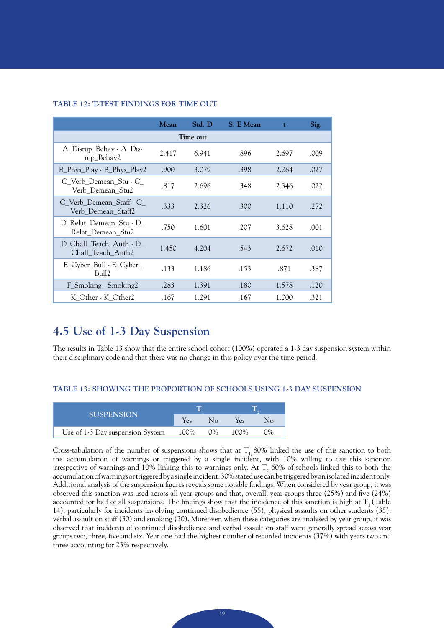|                                                | Mean  | Std. D | S. E Mean | $\mathbf t$ | Sig. |  |  |  |  |  |
|------------------------------------------------|-------|--------|-----------|-------------|------|--|--|--|--|--|
| Time out                                       |       |        |           |             |      |  |  |  |  |  |
| A_Disrup_Behav - A_Dis-<br>rup_Behav2          | 2.417 | 6.941  | .896      | 2.697       | .009 |  |  |  |  |  |
| B_Phys_Play - B_Phys_Play2                     | .900  | 3.079  | .398      | 2.264       | .027 |  |  |  |  |  |
| C_Verb_Demean_Stu - C_<br>Verb Demean Stu2     | .817  | 2.696  | .348      | 2.346       | .022 |  |  |  |  |  |
| C_Verb_Demean_Staff - C_<br>Verb Demean Staff2 | .333  | 2.326  | .300      | 1.110       | .272 |  |  |  |  |  |
| D_Relat_Demean_Stu - D_<br>Relat_Demean_Stu2   | .750  | 1.601  | .207      | 3.628       | .001 |  |  |  |  |  |
| D_Chall_Teach_Auth - D_<br>Chall_Teach_Auth2   | 1.450 | 4.204  | .543      | 2.672       | .010 |  |  |  |  |  |
| E_Cyber_Bull - E_Cyber_<br>Bull <sub>2</sub>   | .133  | 1.186  | .153      | .871        | .387 |  |  |  |  |  |
| F_Smoking - Smoking2                           | .283  | 1.391  | .180      | 1.578       | .120 |  |  |  |  |  |
| K_Other - K_Other2                             | .167  | 1.291  | .167      | 1.000       | .321 |  |  |  |  |  |

#### **TABLE 12: T-TEST FINDINGS FOR TIME OUT**

## **4.5 Use of 1-3 Day Suspension**

The results in Table 13 show that the entire school cohort (100%) operated a 1-3 day suspension system within their disciplinary code and that there was no change in this policy over the time period.

#### **TABLE 13: SHOWING THE PROPORTION OF SCHOOLS USING 1-3 DAY SUSPENSION**

| <b>SUSPENSION</b>                |      |       |      |            |
|----------------------------------|------|-------|------|------------|
|                                  | Yes  | Nο    | Yes  |            |
| Use of 1-3 Day suspension System | 100% | $0\%$ | 100% | $\gamma\%$ |

Cross-tabulation of the number of suspensions shows that at  $T<sub>1</sub>$  80% linked the use of this sanction to both the accumulation of warnings or triggered by a single incident, with 10% willing to use this sanction irrespective of warnings and 10% linking this to warnings only. At  $T<sub>2</sub>$  60% of schools linked this to both the accumulation of warnings or triggered by a single incident. 30% stated use can be triggered by an isolated incident only. Additional analysis of the suspension figures reveals some notable findings. When considered by year group, it was observed this sanction was used across all year groups and that, overall, year groups three (25%) and five (24%) accounted for half of all suspensions. The findings show that the incidence of this sanction is high at  $T<sub>1</sub>$  (Table 14), particularly for incidents involving continued disobedience (55), physical assaults on other students (35), verbal assault on staff (30) and smoking (20). Moreover, when these categories are analysed by year group, it was observed that incidents of continued disobedience and verbal assault on staff were generally spread across year groups two, three, five and six. Year one had the highest number of recorded incidents (37%) with years two and three accounting for 23% respectively.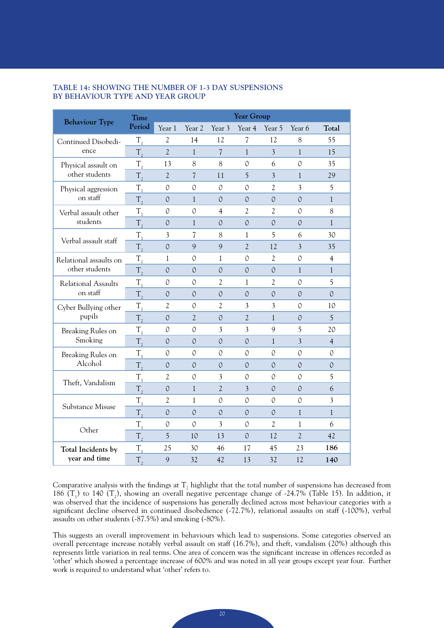#### **TABLE 14: SHOWING THE NUMBER OF 1-3 DAY SUSPENSIONS BY BEHAVIOUR TYPE AND YEAR GROUP**

| <b>Behaviour Type</b>  | <b>Time</b>      | Year Group     |                          |                          |                                                                                                                                                                                                                                                                                                |                |                |                |  |
|------------------------|------------------|----------------|--------------------------|--------------------------|------------------------------------------------------------------------------------------------------------------------------------------------------------------------------------------------------------------------------------------------------------------------------------------------|----------------|----------------|----------------|--|
|                        | Period           | Year 1         | Year 2                   | Year 3                   | Year 4                                                                                                                                                                                                                                                                                         | Year 5         | Year 6         | Total          |  |
| Continued Disobedi-    | $T_{1}$          | $\overline{2}$ | 14                       | 12                       | $\overline{7}$                                                                                                                                                                                                                                                                                 | 12             | 8              | 55             |  |
| ence                   | $T_{1}$          | $\overline{2}$ | $\mathbf{1}$             | $\overline{\mathcal{L}}$ | $\mathbf{1}$                                                                                                                                                                                                                                                                                   | $\overline{3}$ | $\mathbf{1}$   | 15             |  |
| Physical assault on    | $T_{1}$          | 13             | 8                        | 8                        | 0                                                                                                                                                                                                                                                                                              | 6              | $\mathcal{O}$  | 35             |  |
| other students         | $T_{2}$          | $\overline{2}$ | $\overline{\mathcal{L}}$ | 11                       | 5                                                                                                                                                                                                                                                                                              | $\overline{3}$ | $\mathbf{1}$   | 29             |  |
| Physical aggression    | $T_{1}$          | $\mathcal{O}$  | $\mathcal{O}$            | 0                        | $\mathcal{O}$                                                                                                                                                                                                                                                                                  | $\overline{2}$ | 3              | 5              |  |
| on staff               | $T_{2}$          | $\mathcal{O}$  | $\mathbf{1}$             | $\mathcal{O}$            | $\mathcal{O}$                                                                                                                                                                                                                                                                                  | $\mathcal{O}$  | $\mathcal{O}$  | $\mathbf{1}$   |  |
| Verbal assault other   | $T_{1}$          | $\mathcal{O}$  | $\mathcal{O}$            | $\overline{4}$           | $\overline{2}$                                                                                                                                                                                                                                                                                 | $\mathcal{L}$  | $\mathcal{O}$  | $8\,$          |  |
| students               | $T_{2}$          | $\mathcal{O}$  | $\mathbf{1}$             | $\mathcal{O}$            | $\mathcal{O}$                                                                                                                                                                                                                                                                                  | $\mathcal{O}$  | $\mathcal{O}$  | $\mathbf{1}$   |  |
| Verbal assault staff   | $T_{1}$          | 3              | $\overline{\mathcal{L}}$ | 8                        | $\mathbf{1}$                                                                                                                                                                                                                                                                                   | 5              | 6              | 30             |  |
|                        | $T_{2}$          | $\mathcal{O}$  | 9                        | 9                        | $\overline{2}$                                                                                                                                                                                                                                                                                 | 12             | $\overline{3}$ | 35             |  |
| Relational assaults on | $T_{1}$          | 1              | 0                        | 1                        | 0                                                                                                                                                                                                                                                                                              | 2              | 0              | $\overline{4}$ |  |
| other students         | $T_{2}$          | $\mathcal{O}$  | $\Omega$                 | $\mathcal{O}$            | $\mathcal{O}$                                                                                                                                                                                                                                                                                  | $\Omega$       | $\mathbf{1}$   | $\mathbf{1}$   |  |
| Relational Assaults    | $T_{1}$          | 0              | 0                        | 2                        | 1                                                                                                                                                                                                                                                                                              | 2              | 0              | 5              |  |
| on staff               | $T_{2}$          | $\mathcal{O}$  | $\mathcal{O}$            | $\mathcal{O}$            | $\mathcal{O}$                                                                                                                                                                                                                                                                                  | $\mathcal{O}$  | $\mathcal{O}$  | $\mathcal{O}$  |  |
| Cyber Bullying other   | $T_{1}$          | $\mathfrak{2}$ | 0                        | 2                        | 3                                                                                                                                                                                                                                                                                              | 3              | 0              | 10             |  |
| pupils                 | $T_{2}$          | $\mathcal{O}$  | $\overline{2}$           | $\mathcal{O}$            | $\overline{2}$                                                                                                                                                                                                                                                                                 | $\mathbf{1}$   | $\mathcal{O}$  | $\overline{5}$ |  |
| Breaking Rules on      | $T_{1}$          | 0              | 0                        | 3                        | 3                                                                                                                                                                                                                                                                                              | 9              | 5              | 20             |  |
| Smoking                | $T_{2}$          | $\mathcal{O}$  | $\mathcal{O}$            | $\mathcal{O}$            | $\mathcal{O}$                                                                                                                                                                                                                                                                                  | $\mathbf{1}$   | $\overline{3}$ | $\overline{4}$ |  |
| Breaking Rules on      | $T_{1}$          | 0              | $\Omega$                 | $\Omega$                 | $\Omega$                                                                                                                                                                                                                                                                                       | $\Omega$       | $\Omega$       | 0              |  |
| Alcohol                | $T_{2}$          | $\mathcal{O}$  | $\Omega$                 | 0                        | $\mathcal{O}$<br>$\Omega$<br>$\mathcal{O}$<br>0<br>$\mathcal{O}$<br>0<br>$\overline{3}$<br>$\mathcal{O}$<br>$\mathcal{O}$<br>0<br>0<br>0<br>$\mathcal{O}$<br>$\Omega$<br>$\mathbf{1}$<br>$\mathfrak{2}$<br>0<br>1<br>$\mathcal{O}$<br>12<br>$\overline{2}$<br>45<br>23<br>17<br>13<br>32<br>12 | $\mathcal{O}$  |                |                |  |
| Theft, Vandalism       | $T_{1}$          | $\overline{2}$ | $\mathcal{O}$            | 3                        |                                                                                                                                                                                                                                                                                                |                |                | 5              |  |
|                        | $T_{2}$          | $\mathcal{O}$  | $\mathbf{1}$             | $\overline{2}$           |                                                                                                                                                                                                                                                                                                |                |                | 6              |  |
| Substance Misuse       | $T_{1}$          | 2              | 1                        | $\mathcal{O}$            |                                                                                                                                                                                                                                                                                                |                |                | 3              |  |
|                        | $T_{2}$          | $\mathcal{O}$  | $\Omega$                 | $\mathcal{O}$            |                                                                                                                                                                                                                                                                                                |                |                | $\mathbf{1}$   |  |
| Other                  | $T_{1}$          | 0              | $\mathcal{O}$            | 3                        |                                                                                                                                                                                                                                                                                                |                |                | 6              |  |
|                        | T,               | 5              | 10                       | 13                       |                                                                                                                                                                                                                                                                                                |                |                | 42             |  |
| Total Incidents by     | $T_{1}$          | 25             | 30                       | 46                       |                                                                                                                                                                                                                                                                                                |                |                | 186            |  |
| year and time          | $T_{\mathrm{2}}$ | 9              | 32                       | 42                       |                                                                                                                                                                                                                                                                                                |                |                | 140            |  |

Comparative analysis with the findings at  $\mathrm{T}_2$  highlight that the total number of suspensions has decreased from 186  $(T_1)$  to 140  $(T_2)$ , showing an overall negative percentage change of -24.7% (Table 15). In addition, it was observed that the incidence of suspensions has generally declined across most behaviour categories with a significant decline observed in continued disobedience (-72.7%), relational assaults on staff (-100%), verbal assaults on other students (-87.5%) and smoking (-80%).

This suggests an overall improvement in behaviours which lead to suspensions. Some categories observed an overall percentage increase notably verbal assault on staff (16.7%), and theft, vandalism (20%) although this represents little variation in real terms. One area of concern was the significant increase in offences recorded as 'other' which showed a percentage increase of 600% and was noted in all year groups except year four. Further work is required to understand what 'other' refers to.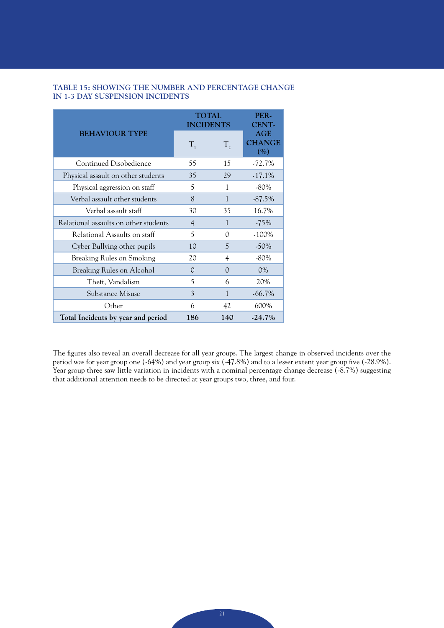|  |                                 | TABLE 15: SHOWING THE NUMBER AND PERCENTAGE CHANGE |  |
|--|---------------------------------|----------------------------------------------------|--|
|  | IN 1-3 DAY SUSPENSION INCIDENTS |                                                    |  |

|                                       | <b>TOTAL</b><br><b>INCIDENTS</b> | PER-<br><b>CENT-</b> |                             |
|---------------------------------------|----------------------------------|----------------------|-----------------------------|
| <b>BEHAVIOUR TYPE</b>                 | $T_{1}$                          | $T_{2}$              | AGE<br><b>CHANGE</b><br>(%) |
| <b>Continued Disobedience</b>         | 55                               | 15                   | $-72.7%$                    |
| Physical assault on other students    | 35                               | 29                   | $-17.1\%$                   |
| Physical aggression on staff          | 5                                | 1                    | $-80\%$                     |
| Verbal assault other students         | 8                                | $\mathbf{1}$         | $-87.5%$                    |
| Verbal assault staff                  | 30                               | 35                   | 16.7%                       |
| Relational assaults on other students | $\overline{4}$                   | 1                    | $-75\%$                     |
| Relational Assaults on staff          | 5                                | $\Omega$             | $-100\%$                    |
| Cyber Bullying other pupils           | 10                               | 5                    | $-50%$                      |
| Breaking Rules on Smoking             | 20                               | 4                    | $-80\%$                     |
| Breaking Rules on Alcohol             | $\Omega$                         | $\Omega$             | $0\%$                       |
| Theft, Vandalism                      | 5                                | 6                    | 20%                         |
| Substance Misuse                      | 3                                | $\mathbf{1}$         | $-66.7\%$                   |
| Other                                 | 6                                | 42                   | 600%                        |
| Total Incidents by year and period    | 186                              | 140                  | $-24.7\%$                   |

The figures also reveal an overall decrease for all year groups. The largest change in observed incidents over the period was for year group one (-64%) and year group six (-47.8%) and to a lesser extent year group five (-28.9%). Year group three saw little variation in incidents with a nominal percentage change decrease (-8.7%) suggesting that additional attention needs to be directed at year groups two, three, and four.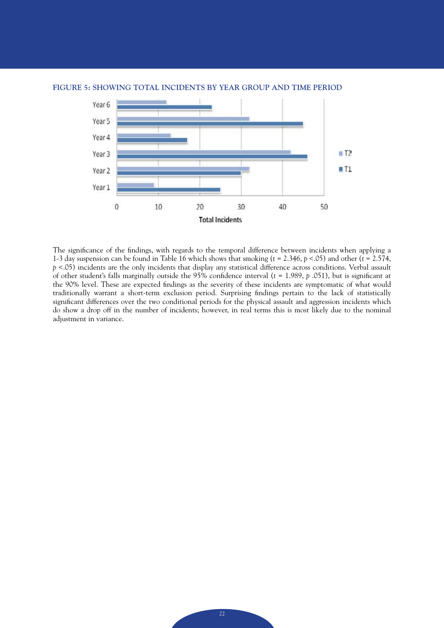

#### **FIGURE 5: SHOWING TOTAL INCIDENTS BY YEAR GROUP AND TIME PERIOD**

The significance of the findings, with regards to the temporal difference between incidents when applying a 1-3 day suspension can be found in Table 16 which shows that smoking (*t* = 2.346, *p* <.05) and other (*t* = 2.574, *p* <.05) incidents are the only incidents that display any statistical difference across conditions. Verbal assault of other student's falls marginally outside the 95% confidence interval (*t* = 1.989, *p* .051), but is significant at the 90% level. These are expected findings as the severity of these incidents are symptomatic of what would traditionally warrant a short-term exclusion period. Surprising findings pertain to the lack of statistically significant differences over the two conditional periods for the physical assault and aggression incidents which do show a drop off in the number of incidents; however, in real terms this is most likely due to the nominal adjustment in variance.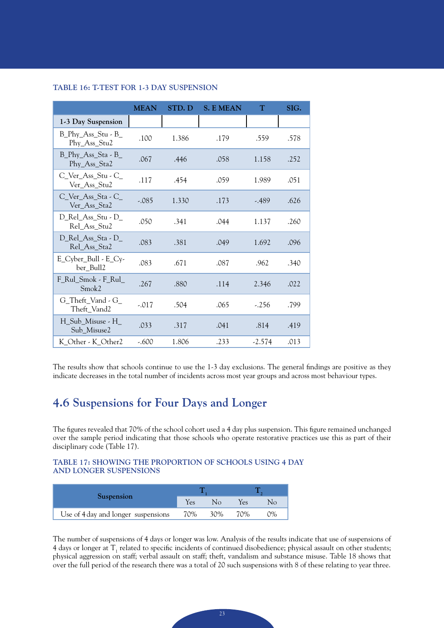|                                                   | <b>MEAN</b> | STD. D | <b>S. E MEAN</b> | T        | SIG. |
|---------------------------------------------------|-------------|--------|------------------|----------|------|
| 1-3 Day Suspension                                |             |        |                  |          |      |
| $B_P$ hy $\_\$ Ass $\_$ Stu - $B$<br>Phy_Ass_Stu2 | .100        | 1.386  | .179             | .559     | .578 |
| $B_P$ hy $\_\$ Ass $\_$ Sta - B<br>Phy_Ass_Sta2   | .067        | .446   | .058             | 1.158    | .252 |
| C_Ver_Ass_Stu - C_<br>Ver_Ass_Stu2                | .117        | .454   | .059             | 1.989    | .051 |
| C_Ver_Ass_Sta - C_<br>Ver_Ass_Sta2                | $-.085$     | 1.330  | .173             | $-0.489$ | .626 |
| D_Rel_Ass_Stu - D_<br>Rel Ass Stu2                | .050        | .341   | .044             | 1.137    | .260 |
| D_Rel_Ass_Sta - D_<br>Rel_Ass_Sta2                | .083        | .381   | .049             | 1.692    | .096 |
| E_Cyber_Bull - E_Cy-<br>ber_Bull2                 | .083        | .671   | .087             | .962     | .340 |
| F_Rul_Smok - F_Rul_<br>Smok2                      | .267        | .880   | .114             | 2.346    | .022 |
| G_Theft_Vand - G_<br>Theft_Vand2                  | $-.017$     | .504   | .065             | $-.256$  | .799 |
| H_Sub_Misuse - H_<br>Sub Misuse2                  | .033        | .317   | .041             | .814     | .419 |
| K_Other - K_Other2                                | $-.600$     | 1.806  | .233             | $-2.574$ | .013 |

#### **TABLE 16: T-TEST FOR 1-3 DAY SUSPENSION**

The results show that schools continue to use the 1-3 day exclusions. The general findings are positive as they indicate decreases in the total number of incidents across most year groups and across most behaviour types.

### **4.6 Suspensions for Four Days and Longer**

The figures revealed that 70% of the school cohort used a 4 day plus suspension. This figure remained unchanged over the sample period indicating that those schools who operate restorative practices use this as part of their disciplinary code (Table 17).

#### **TABLE 17: SHOWING THE PROPORTION OF SCHOOLS USING 4 DAY AND LONGER SUSPENSIONS**

| <b>Suspension</b>                   | Yes | Nο  | Yes | Nο |
|-------------------------------------|-----|-----|-----|----|
| Use of 4 day and longer suspensions | 70% | 30% | 70% | 2% |

The number of suspensions of 4 days or longer was low. Analysis of the results indicate that use of suspensions of 4 days or longer at  $T_1$  related to specific incidents of continued disobedience; physical assault on other students; physical aggression on staff; verbal assault on staff; theft, vandalism and substance misuse. Table 18 shows that over the full period of the research there was a total of 20 such suspensions with 8 of these relating to year three.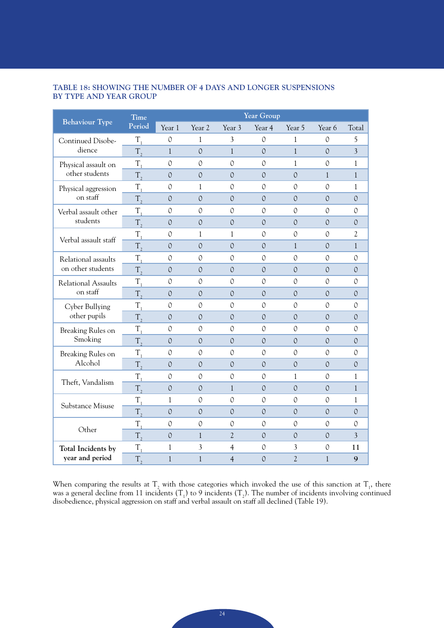### **TABLE 18: SHOWING THE NUMBER OF 4 DAYS AND LONGER SUSPENSIONS BY TYPE AND YEAR GROUP**

|                                             | <b>Time</b>        |               |                   |                | Year Group     |                |               |                |
|---------------------------------------------|--------------------|---------------|-------------------|----------------|----------------|----------------|---------------|----------------|
| <b>Behaviour Type</b>                       | Period             | Year 1        | Year <sub>2</sub> | Year 3         | Year 4         | Year 5         | Year 6        | Total          |
| Continued Disobe-                           | $T_{1}$            | $\mathcal{O}$ | $\mathbf{1}$      | 3              | $\mathcal{O}$  | 1              | $\mathcal{O}$ | 5              |
| dience                                      | $T_{2}$            | $\mathbf{1}$  | $\mathcal{O}$     | $\mathbf{1}$   | $\overline{O}$ | $\mathbf{1}$   | $\mathcal{O}$ | $\overline{3}$ |
| Physical assault on                         | $T_{1}$            | $\mathcal{O}$ | 0                 | $\mathcal{O}$  | $\mathcal{O}$  | 1              | $\Omega$      | 1              |
| other students                              | $T_{2}$            | $\mathcal{O}$ | $\mathcal{O}$     | $\mathcal{O}$  | $\mathcal{O}$  | $\mathcal{O}$  | $\mathbf{1}$  | $\mathbf{1}$   |
| Physical aggression                         | $T_{1}$            | $\mathcal{O}$ | 1                 | 0              | 0              | 0              | $\Omega$      | 1              |
| on staff                                    | T,                 | $\mathcal{O}$ | $\mathcal{O}$     | $\mathcal{O}$  | $\mathcal{O}$  | $\mathcal{O}$  | $\mathcal{O}$ | $\mathcal{O}$  |
| Verbal assault other                        | $T_{1}$            | 0             | 0                 | 0              | $\mathcal{O}$  | 0              | $\Omega$      | 0              |
| students                                    | T,                 | $\mathcal{O}$ | $\mathcal{O}$     | $\mathcal{O}$  | $\mathcal{O}$  | $\mathcal{O}$  | $\mathcal{O}$ | $\mathcal{O}$  |
|                                             | $T_{1}$            | 0             | $\mathbf{1}$      | 1              | $\mathcal{O}$  | 0              | $\Omega$      | $\overline{2}$ |
| Verbal assault staff<br>Relational assaults | $T_{2}$            | $\Omega$      | $\mathcal{O}$     | $\Omega$       | $\Omega$       | $\mathbf{1}$   | $\mathcal{O}$ | $\mathbf{1}$   |
|                                             | $T_{\rm i}$        | 0             | 0                 | 0              | 0              | 0              | $\Omega$      | 0              |
| on other students                           | $T_{2}$            | $\Omega$      | $\Omega$          | $\Omega$       | $\Omega$       | $\Omega$       | $\mathcal{O}$ | $\Omega$       |
| <b>Relational Assaults</b>                  | $T_{1}$            | 0             | 0                 | $\mathcal{O}$  | 0              | 0              | $\Omega$      | 0              |
| on staff                                    | $T_{2}$            | $\Omega$      | $\mathcal{O}$     | $\mathcal{O}$  | $\mathcal{O}$  | $\Omega$       | $\mathcal{O}$ | $\Omega$       |
| Cyber Bullying                              | $T_{\rm_1}$        | 0             | 0                 | 0              | 0              | 0              | 0             | 0              |
| other pupils                                | $T_{2}$            | $\Omega$      | $\mathcal{O}$     | $\mathcal{O}$  | $\Omega$       | $\Omega$       | $\Omega$      | $\mathcal{O}$  |
| Breaking Rules on                           | $T_{\overline{1}}$ | 0             | 0                 | $\mathcal{O}$  | 0              | 0              | 0             | 0              |
| Smoking                                     | $T_{2}$            | $\Omega$      | $\mathcal{O}$     | $\mathcal{O}$  | $\mathcal{O}$  | $\Omega$       | $\mathcal{O}$ | $\Omega$       |
| Breaking Rules on                           | $T_{1}$            | 0             | 0                 | 0              | 0              | 0              | 0             | 0              |
| Alcohol                                     | T,                 | $\Omega$      | $\mathcal{O}$     | $\mathcal{O}$  | $\Omega$       | $\Omega$       | $\Omega$      | $\mathcal{O}$  |
| Theft, Vandalism                            | $T_{\rm_1}$        | $\mathcal{O}$ | $\mathcal{O}$     | $\mathcal{O}$  | $\mathcal{O}$  | $\mathbf{1}$   | $\Omega$      | 1              |
|                                             | $T_{\rm g}$        | $\mathcal{O}$ | $\mathcal{O}$     | $\mathbf{1}$   | $\mathcal{O}$  | $\mathcal{O}$  | $\mathcal{O}$ | $\mathbf{1}$   |
| Substance Misuse                            | $T_{\rm i}$        | 1             | $\Omega$          | $\mathcal{O}$  | $\mathcal{O}$  | $\Omega$       | $\Omega$      | 1              |
|                                             | T,                 | $\mathcal{O}$ | $\mathcal{O}$     | $\mathcal{O}$  | $\mathcal{O}$  | $\mathcal{O}$  | $\mathcal{O}$ | $\mathcal{O}$  |
| Other                                       | $T_{\rm i}$        | $\mathcal{O}$ | $\mathcal{O}$     | $\mathcal{O}$  | $\mathcal{O}$  | $\mathcal{O}$  | $\mathcal{O}$ | $\mathcal{O}$  |
|                                             | $T_{\rm a}$        | $\mathcal{O}$ | $\mathbf{1}$      | $\overline{2}$ | $\mathcal{O}$  | $\mathcal{O}$  | $\mathcal{O}$ | $\overline{3}$ |
| Total Incidents by                          | $T_{\rm i}$        | $\mathbf{1}$  | 3                 | $\overline{4}$ | $\mathcal{O}$  | 3              | $\mathcal{O}$ | 11             |
| year and period                             | $T_{2}$            | $\mathbf{1}$  | $\mathbf{1}$      | $\overline{4}$ | $\mathcal{O}$  | $\overline{2}$ | $\mathbf{1}$  | 9              |

When comparing the results at  $T_2$  with those categories which invoked the use of this sanction at  $T_1$ , there was a general decline from 11 incidents  $(T_1)$  to 9 incidents  $(T_2)$ . The number of incidents involving continued disobedience, physical aggression on staff and verbal assault on staff all declined (Table 19).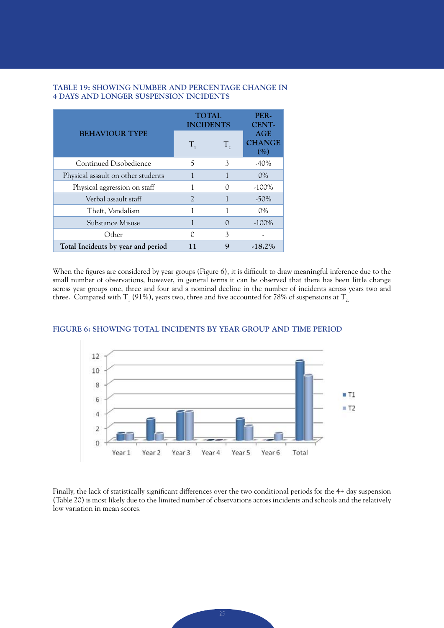|                                    |                | <b>TOTAL</b><br><b>INCIDENTS</b> |                             |  |
|------------------------------------|----------------|----------------------------------|-----------------------------|--|
| <b>BEHAVIOUR TYPE</b>              | $T_{1}$        | T,                               | AGE<br><b>CHANGE</b><br>(%) |  |
| Continued Disobedience             | 5              | 3                                | $-40\%$                     |  |
| Physical assault on other students |                |                                  | $0\%$                       |  |
| Physical aggression on staff       |                | ∩                                | $-100\%$                    |  |
| Verbal assault staff               | $\mathfrak{D}$ |                                  | $-50\%$                     |  |
| Theft, Vandalism                   |                |                                  | $0\%$                       |  |
| Substance Misuse                   |                |                                  | $-100\%$                    |  |
| Other                              |                | 3                                |                             |  |
| Total Incidents by year and period |                | 9                                | $-18.2\%$                   |  |

#### **TABLE 19: SHOWING NUMBER AND PERCENTAGE CHANGE IN 4 DAYS AND LONGER SUSPENSION INCIDENTS**

When the figures are considered by year groups (Figure 6), it is difficult to draw meaningful inference due to the small number of observations, however, in general terms it can be observed that there has been little change across year groups one, three and four and a nominal decline in the number of incidents across years two and three. Compared with T<sub>1</sub> (91%), years two, three and five accounted for 78% of suspensions at T<sub>2.</sub>



#### **FIGURE 6: SHOWING TOTAL INCIDENTS BY YEAR GROUP AND TIME PERIOD**

Finally, the lack of statistically significant differences over the two conditional periods for the 4+ day suspension (Table 20) is most likely due to the limited number of observations across incidents and schools and the relatively low variation in mean scores.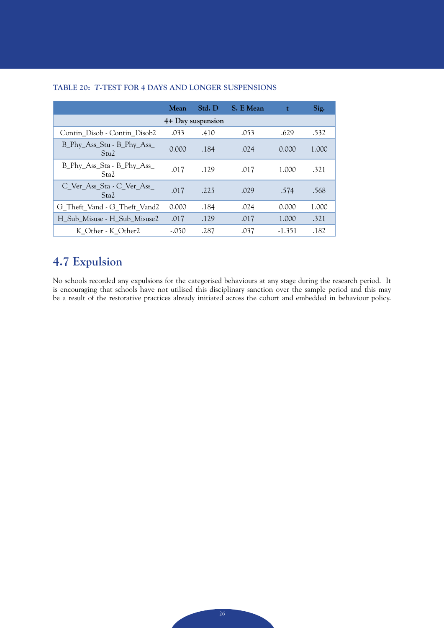|                                                | <b>Mean</b> | Std. D | S. E Mean | t        | Sig.  |  |  |  |  |  |  |
|------------------------------------------------|-------------|--------|-----------|----------|-------|--|--|--|--|--|--|
| 4+ Day suspension                              |             |        |           |          |       |  |  |  |  |  |  |
| Contin Disob - Contin Disob2                   | .033        | .410   | .053      | .629     | .532  |  |  |  |  |  |  |
| B_Phy_Ass_Stu - B_Phy_Ass_<br>Stu2             | 0.000       | .184   | .024      | 0.000    | 1.000 |  |  |  |  |  |  |
| B_Phy_Ass_Sta - B_Phy_Ass_<br>Sta <sub>2</sub> | .017        | .129   | .017      | 1.000    | .321  |  |  |  |  |  |  |
| C Ver Ass Sta - C Ver Ass<br>Sta <sub>2</sub>  | .017        | .225   | .029      | .574     | .568  |  |  |  |  |  |  |
| G Theft Vand - G Theft Vand2                   | 0.000       | .184   | .024      | 0.000    | 1.000 |  |  |  |  |  |  |
| H Sub Misuse - H Sub Misuse2                   | .017        | .129   | .017      | 1.000    | .321  |  |  |  |  |  |  |
| K Other - K Other2                             | $-.050$     | .287   | .037      | $-1.351$ | .182  |  |  |  |  |  |  |

### **TABLE 20:** *T***-TEST FOR 4 DAYS AND LONGER SUSPENSIONS**

## **4.7 Expulsion**

No schools recorded any expulsions for the categorised behaviours at any stage during the research period. It is encouraging that schools have not utilised this disciplinary sanction over the sample period and this may be a result of the restorative practices already initiated across the cohort and embedded in behaviour policy.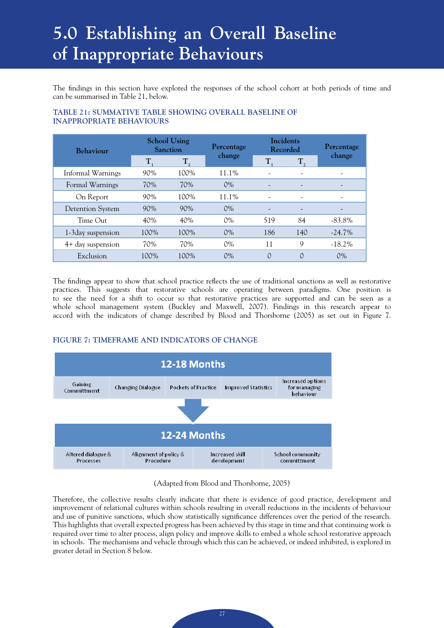## **5.0 Establishing an Overall Baseline of Inappropriate Behaviours**

The findings in this section have explored the responses of the school cohort at both periods of time and can be summarised in Table 21, below.

| <b>Behaviour</b>        |      | <b>School Using</b><br>Sanction | Percentage | Incidents<br>Recorded    |                          | Percentage |  |
|-------------------------|------|---------------------------------|------------|--------------------------|--------------------------|------------|--|
|                         | T.   | $T_{2}$                         | change     | T.                       | $T_{2}$                  | change     |  |
| Informal Warnings       | 90%  | 100%                            | 11.1%      | ٠                        | ٠                        | ٠          |  |
| Formal Warnings         | 70%  | 70%                             | $0\%$      | -                        | $\overline{\phantom{a}}$ | ,          |  |
| On Report               | 90%  | 100%                            | 11.1%      | $\overline{\phantom{a}}$ | ٠                        | ∽          |  |
| <b>Detention System</b> | 90%  | 90%                             | $0\%$      |                          | $\overline{\phantom{a}}$ | -          |  |
| $Time$ Out              | 40%  | 40%                             | $0\%$      | 519                      | 84                       | $-83.8\%$  |  |
| 1-3 day suspension      | 100% | 100%                            | $0\%$      | 186                      | 140                      | $-24.7\%$  |  |
| 4+ day suspension       | 70%  | 70%                             | $0\%$      | 11                       | 9                        | $-18.2\%$  |  |
| Exclusion               | 100% | 100%                            | $0\%$      | $\Omega$                 | $\Omega$                 | $0\%$      |  |

### **TABLE 21: SUMMATIVE TABLE SHOWING OVERALL BASELINE OF INAPPROPRIATE BEHAVIOURS**

The findings appear to show that school practice reflects the use of traditional sanctions as well as restorative practices. This suggests that restorative schools are operating between paradigms. One position is to see the need for a shift to occur so that restorative practices are supported and can be seen as a whole school management system (Buckley and Maxwell, 2007). Findings in this research appear to accord with the indicators of change described by Blood and Thorsborne (2005) as set out in Figure 7.

### **FIGURE 7: TIMEFRAME AND INDICATORS OF CHANGE**



(Adapted from Blood and Thorsborne, 2005)

Therefore, the collective results clearly indicate that there is evidence of good practice, development and improvement of relational cultures within schools resulting in overall reductions in the incidents of behaviour and use of punitive sanctions, which show statistically significance differences over the period of the research. This highlights that overall expected progress has been achieved by this stage in time and that continuing work is required over time to alter process, align policy and improve skills to embed a whole school restorative approach in schools. The mechanisms and vehicle through which this can be achieved, or indeed inhibited, is explored in greater detail in Section 8 below.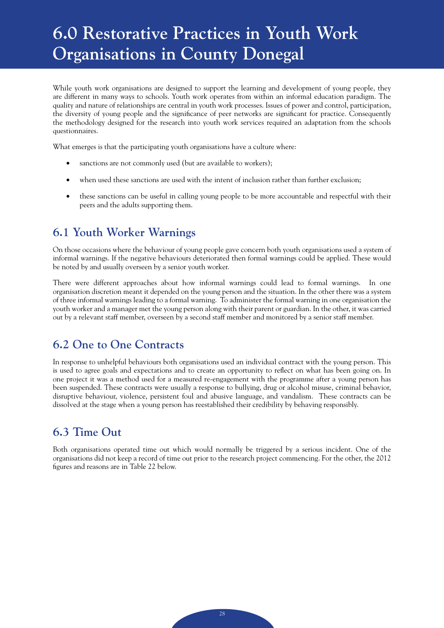## **6.0 Restorative Practices in Youth Work Organisations in County Donegal**

While youth work organisations are designed to support the learning and development of young people, they are different in many ways to schools. Youth work operates from within an informal education paradigm. The quality and nature of relationships are central in youth work processes. Issues of power and control, participation, the diversity of young people and the significance of peer networks are significant for practice. Consequently the methodology designed for the research into youth work services required an adaptation from the schools questionnaires.

What emerges is that the participating youth organisations have a culture where:

- sanctions are not commonly used (but are available to workers);
- when used these sanctions are used with the intent of inclusion rather than further exclusion;
- these sanctions can be useful in calling young people to be more accountable and respectful with their peers and the adults supporting them.

## **6.1 Youth Worker Warnings**

On those occasions where the behaviour of young people gave concern both youth organisations used a system of informal warnings. If the negative behaviours deteriorated then formal warnings could be applied. These would be noted by and usually overseen by a senior youth worker.

There were different approaches about how informal warnings could lead to formal warnings. In one organisation discretion meant it depended on the young person and the situation. In the other there was a system of three informal warnings leading to a formal warning. To administer the formal warning in one organisation the youth worker and a manager met the young person along with their parent or guardian. In the other, it was carried out by a relevant staff member, overseen by a second staff member and monitored by a senior staff member.

## **6.2 One to One Contracts**

In response to unhelpful behaviours both organisations used an individual contract with the young person. This is used to agree goals and expectations and to create an opportunity to reflect on what has been going on. In one project it was a method used for a measured re-engagement with the programme after a young person has been suspended. These contracts were usually a response to bullying, drug or alcohol misuse, criminal behavior, disruptive behaviour, violence, persistent foul and abusive language, and vandalism. These contracts can be dissolved at the stage when a young person has reestablished their credibility by behaving responsibly.

## **6.3 Time Out**

Both organisations operated time out which would normally be triggered by a serious incident. One of the organisations did not keep a record of time out prior to the research project commencing. For the other, the 2012 figures and reasons are in Table 22 below.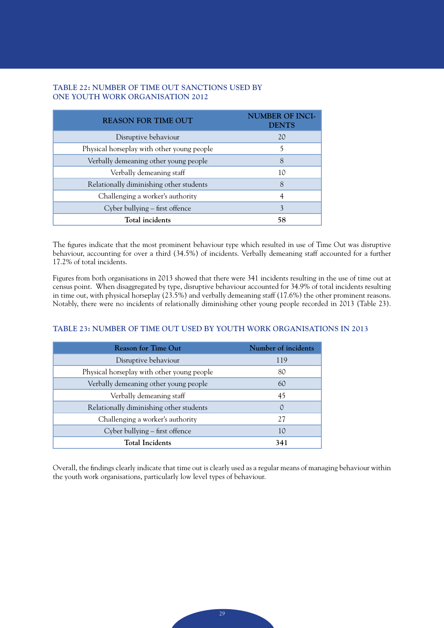#### **TABLE 22: NUMBER OF TIME OUT SANCTIONS USED BY ONE YOUTH WORK ORGANISATION 2012**

| <b>REASON FOR TIME OUT</b>                 | <b>NUMBER OF INCI-</b><br><b>DENTS</b> |
|--------------------------------------------|----------------------------------------|
| Disruptive behaviour                       | 20                                     |
| Physical horseplay with other young people | 5                                      |
| Verbally demeaning other young people      | 8                                      |
| Verbally demeaning staff                   | 10                                     |
| Relationally diminishing other students    | 8                                      |
| Challenging a worker's authority           |                                        |
| Cyber bullying – first offence             | 3                                      |
| Total incidents                            | 58                                     |

The figures indicate that the most prominent behaviour type which resulted in use of Time Out was disruptive behaviour, accounting for over a third (34.5%) of incidents. Verbally demeaning staff accounted for a further 17.2% of total incidents.

Figures from both organisations in 2013 showed that there were 341 incidents resulting in the use of time out at census point. When disaggregated by type, disruptive behaviour accounted for 34.9% of total incidents resulting in time out, with physical horseplay (23.5%) and verbally demeaning staff (17.6%) the other prominent reasons. Notably, there were no incidents of relationally diminishing other young people recorded in 2013 (Table 23).

#### **TABLE 23: NUMBER OF TIME OUT USED BY YOUTH WORK ORGANISATIONS IN 2013**

| <b>Reason for Time Out</b>                 | Number of incidents |
|--------------------------------------------|---------------------|
| Disruptive behaviour                       | 119                 |
| Physical horseplay with other young people | 80                  |
| Verbally demeaning other young people      | 60                  |
| Verbally demeaning staff                   | 45                  |
| Relationally diminishing other students    | $\Omega$            |
| Challenging a worker's authority           | 27                  |
| Cyber bullying – first offence             | 10                  |
| <b>Total Incidents</b>                     | 341                 |

Overall, the findings clearly indicate that time out is clearly used as a regular means of managing behaviour within the youth work organisations, particularly low level types of behaviour.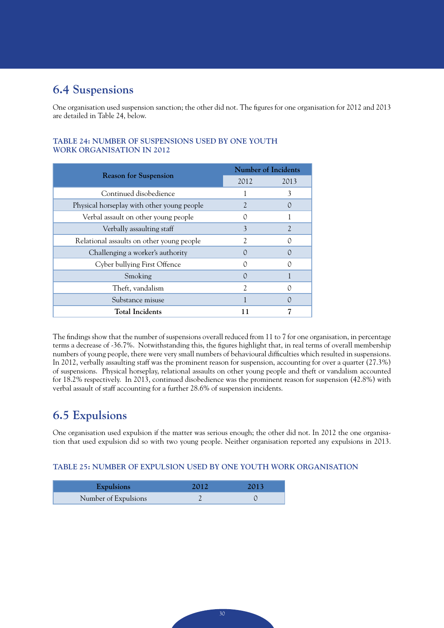## **6.4 Suspensions**

One organisation used suspension sanction; the other did not. The figures for one organisation for 2012 and 2013 are detailed in Table 24, below.

|                                            |                  | <b>Number of Incidents</b> |
|--------------------------------------------|------------------|----------------------------|
| <b>Reason for Suspension</b>               | 2012             | 2013                       |
| Continued disobedience                     |                  | 3                          |
| Physical horseplay with other young people |                  |                            |
| Verbal assault on other young people       | ∩                |                            |
| Verbally assaulting staff                  | 3                | $\mathcal{L}$              |
| Relational assaults on other young people  | 2                |                            |
| Challenging a worker's authority           | $\left( \right)$ |                            |
| Cyber bullying First Offence               |                  |                            |
| Smoking                                    | $\left( \right)$ |                            |
| Theft, vandalism                           | $\mathfrak{D}$   |                            |
| Substance misuse                           |                  |                            |
| <b>Total Incidents</b>                     | 11               |                            |

### **TABLE 24: NUMBER OF SUSPENSIONS USED BY ONE YOUTH WORK ORGANISATION IN 2012**

The findings show that the number of suspensions overall reduced from 11 to 7 for one organisation, in percentage terms a decrease of -36.7%. Notwithstanding this, the figures highlight that, in real terms of overall membership numbers of young people, there were very small numbers of behavioural difficulties which resulted in suspensions. In 2012, verbally assaulting staff was the prominent reason for suspension, accounting for over a quarter (27.3%) of suspensions. Physical horseplay, relational assaults on other young people and theft or vandalism accounted for 18.2% respectively. In 2013, continued disobedience was the prominent reason for suspension (42.8%) with verbal assault of staff accounting for a further 28.6% of suspension incidents.

## **6.5 Expulsions**

One organisation used expulsion if the matter was serious enough; the other did not. In 2012 the one organisation that used expulsion did so with two young people. Neither organisation reported any expulsions in 2013.

### **TABLE 25: NUMBER OF EXPULSION USED BY ONE YOUTH WORK ORGANISATION**

| <b>Expulsions</b>    |  |
|----------------------|--|
| Number of Expulsions |  |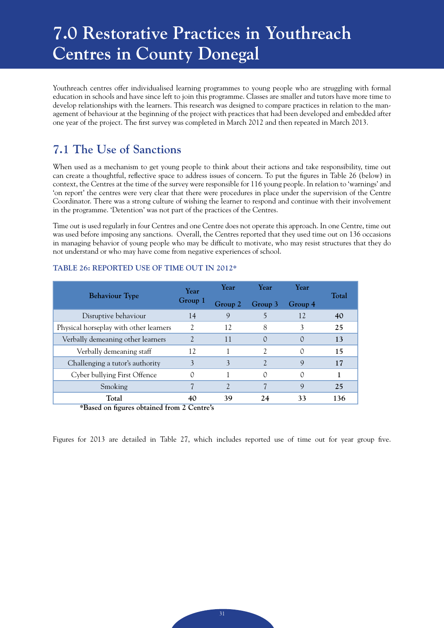## **7.0 Restorative Practices in Youthreach Centres in County Donegal**

Youthreach centres offer individualised learning programmes to young people who are struggling with formal education in schools and have since left to join this programme. Classes are smaller and tutors have more time to develop relationships with the learners. This research was designed to compare practices in relation to the management of behaviour at the beginning of the project with practices that had been developed and embedded after one year of the project. The first survey was completed in March 2012 and then repeated in March 2013.

## **7.1 The Use of Sanctions**

When used as a mechanism to get young people to think about their actions and take responsibility, time out can create a thoughtful, reflective space to address issues of concern. To put the figures in Table 26 (below) in context, the Centres at the time of the survey were responsible for 116 young people. In relation to 'warnings' and 'on report' the centres were very clear that there were procedures in place under the supervision of the Centre Coordinator. There was a strong culture of wishing the learner to respond and continue with their involvement in the programme. 'Detention' was not part of the practices of the Centres.

Time out is used regularly in four Centres and one Centre does not operate this approach. In one Centre, time out was used before imposing any sanctions. Overall, the Centres reported that they used time out on 136 occasions in managing behavior of young people who may be difficult to motivate, who may resist structures that they do not understand or who may have come from negative experiences of school.

| <b>Behaviour Type</b>                  | Year                        | Year                           | Year             | Year    | Total |
|----------------------------------------|-----------------------------|--------------------------------|------------------|---------|-------|
|                                        | Group 1                     | Group 2                        | Group 3          | Group 4 |       |
| Disruptive behaviour                   | 14                          | 9                              |                  | 12      | 40    |
| Physical horseplay with other learners | $\mathcal{L}$               | 12                             | 8                |         | 25    |
| Verbally demeaning other learners      | $\mathcal{D}_{\mathcal{A}}$ | 11                             | $\left( \right)$ | 0       | 13    |
| Verbally demeaning staff               | 12                          |                                | 2                | 0       | 15    |
| Challenging a tutor's authority        | 3                           | 3                              |                  | Q       | 17    |
| Cyber bullying First Offence           | 0                           |                                | 0                | 0       |       |
| Smoking                                |                             | $\overline{\mathcal{L}}$       |                  | 9       | 25    |
| Total<br>$\sim$<br>$\overline{1}$      | 40<br>$\sim$ $\sim$         | 39<br>$\overline{\phantom{a}}$ | 24               | 33      | 136   |

#### **TABLE 26: REPORTED USE OF TIME OUT IN 2012\***

**\*Based on figures obtained from 2 Centre's**

Figures for 2013 are detailed in Table 27, which includes reported use of time out for year group five.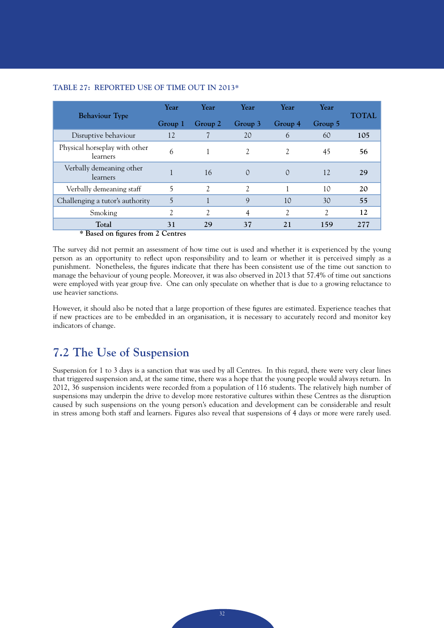| <b>Behaviour</b> Type                     | Year    | Year           | Year           | Year           | Year          | <b>TOTAL</b> |  |
|-------------------------------------------|---------|----------------|----------------|----------------|---------------|--------------|--|
|                                           | Group 1 | Group 2        | Group 3        | Group 4        | Group 5       |              |  |
| Disruptive behaviour                      | 12      |                | 20             | 6              | 60            | 105          |  |
| Physical horseplay with other<br>learners | 6       |                | $\mathfrak{Z}$ | $\mathcal{L}$  | 45            | 56           |  |
| Verbally demeaning other<br>learners      |         | 16             | $\Omega$       | $\Omega$       | 12            | 29           |  |
| Verbally demeaning staff                  | 5       | $\mathfrak{D}$ | $\mathfrak{Z}$ |                | 10            | 20           |  |
| Challenging a tutor's authority           | 5       |                | 9              | 10             | 30            | 55           |  |
| Smoking                                   | 2       | $\mathcal{L}$  | $\overline{4}$ | $\mathfrak{D}$ | $\mathcal{L}$ | 12           |  |
| Total                                     | 31      | 29             | 37             | 21             | 159           | 277          |  |
| * Based on figures from 2 Centres         |         |                |                |                |               |              |  |

#### **TABLE 27: REPORTED USE OF TIME OUT IN 2013\***

The survey did not permit an assessment of how time out is used and whether it is experienced by the young person as an opportunity to reflect upon responsibility and to learn or whether it is perceived simply as a punishment. Nonetheless, the figures indicate that there has been consistent use of the time out sanction to manage the behaviour of young people. Moreover, it was also observed in 2013 that 57.4% of time out sanctions were employed with year group five. One can only speculate on whether that is due to a growing reluctance to use heavier sanctions.

However, it should also be noted that a large proportion of these figures are estimated. Experience teaches that if new practices are to be embedded in an organisation, it is necessary to accurately record and monitor key indicators of change.

## **7.2 The Use of Suspension**

Suspension for 1 to 3 days is a sanction that was used by all Centres. In this regard, there were very clear lines that triggered suspension and, at the same time, there was a hope that the young people would always return. In 2012, 36 suspension incidents were recorded from a population of 116 students. The relatively high number of suspensions may underpin the drive to develop more restorative cultures within these Centres as the disruption caused by such suspensions on the young person's education and development can be considerable and result in stress among both staff and learners. Figures also reveal that suspensions of 4 days or more were rarely used.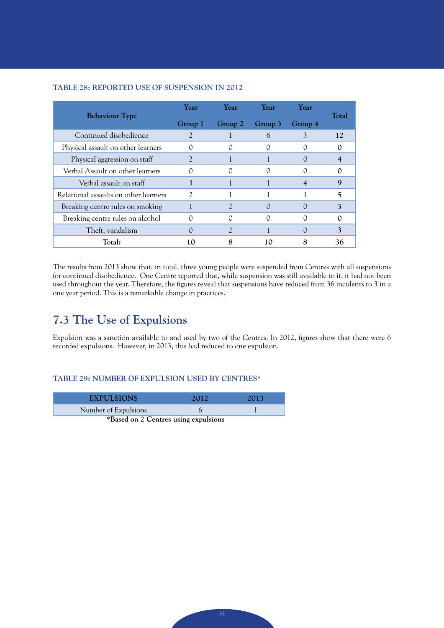### **TABLE 28: REPORTED USE OF SUSPENSION IN 2012**

| <b>Behaviour Type</b>                 | Year    | <b>Year</b> | <b>Year</b> | Year    | Total       |
|---------------------------------------|---------|-------------|-------------|---------|-------------|
|                                       | Group 1 | Group 2     | Group 3     | Group 4 |             |
| Continued disobedience                |         |             | 6           | 3       | 12          |
| Physical assault on other learners    |         |             |             |         |             |
| Physical aggression on staff          |         |             |             |         |             |
| Verbal Assault on other learners      |         |             |             |         |             |
| Verbal assault on staff               | 3       |             |             |         | $\mathbf Q$ |
| Relational assaults on other learners | 2       |             |             |         | 5           |
| Breaking centre rules on smoking      |         |             | $\Box$      |         | 3           |
| Breaking centre rules on alcohol      |         |             | 0           |         | $\Omega$    |
| Theft, vandalism                      |         |             |             |         |             |
| Total:                                | 10      |             | l ( )       |         | 36          |

The results from 2013 show that, in total, three young people were suspended from Centres with all suspensions for continued disobedience. One Centre reported that, while suspension was still available to it, it had not been used throughout the year. Therefore, the figures reveal that suspensions have reduced from 36 incidents to 3 in a one year period. This is a remarkable change in practices.

## **7.3 The Use of Expulsions**

Expulsion was a sanction available to and used by two of the Centres. In 2012, figures show that there were 6 recorded expulsions. However, in 2013, this had reduced to one expulsion.

#### **TABLE 29: NUMBER OF EXPULSION USED BY CENTRES\***

| <b>EXPULSIONS</b>                    | 2012 | 2013 |  |  |
|--------------------------------------|------|------|--|--|
| Number of Expulsions                 |      |      |  |  |
| *Based on 2 Centres using expulsions |      |      |  |  |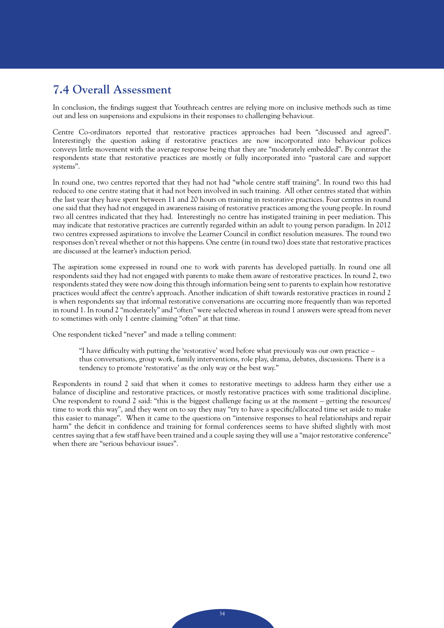## **7.4 Overall Assessment**

In conclusion, the findings suggest that Youthreach centres are relying more on inclusive methods such as time out and less on suspensions and expulsions in their responses to challenging behaviour.

Centre Co-ordinators reported that restorative practices approaches had been "discussed and agreed". Interestingly the question asking if restorative practices are now incorporated into behaviour polices conveys little movement with the average response being that they are "moderately embedded". By contrast the respondents state that restorative practices are mostly or fully incorporated into "pastoral care and support systems".

In round one, two centres reported that they had not had "whole centre staff training". In round two this had reduced to one centre stating that it had not been involved in such training. All other centres stated that within the last year they have spent between 11 and 20 hours on training in restorative practices. Four centres in round one said that they had not engaged in awareness raising of restorative practices among the young people. In round two all centres indicated that they had. Interestingly no centre has instigated training in peer mediation. This may indicate that restorative practices are currently regarded within an adult to young person paradigm. In 2012 two centres expressed aspirations to involve the Learner Council in conflict resolution measures. The round two responses don't reveal whether or not this happens. One centre (in round two) does state that restorative practices are discussed at the learner's induction period.

The aspiration some expressed in round one to work with parents has developed partially. In round one all respondents said they had not engaged with parents to make them aware of restorative practices. In round 2, two respondents stated they were now doing this through information being sent to parents to explain how restorative practices would affect the centre's approach. Another indication of shift towards restorative practices in round 2 is when respondents say that informal restorative conversations are occurring more frequently than was reported in round 1. In round 2 "moderately" and "often" were selected whereas in round 1 answers were spread from never to sometimes with only 1 centre claiming "often" at that time.

One respondent ticked "never" and made a telling comment:

"I have difficulty with putting the 'restorative' word before what previously was our own practice – thus conversations, group work, family interventions, role play, drama, debates, discussions. There is a tendency to promote 'restorative' as the only way or the best way."

Respondents in round 2 said that when it comes to restorative meetings to address harm they either use a balance of discipline and restorative practices, or mostly restorative practices with some traditional discipline. One respondent to round 2 said: "this is the biggest challenge facing us at the moment – getting the resources/ time to work this way", and they went on to say they may "try to have a specific/allocated time set aside to make this easier to manage". When it came to the questions on "intensive responses to heal relationships and repair harm" the deficit in confidence and training for formal conferences seems to have shifted slightly with most centres saying that a few staff have been trained and a couple saying they will use a "major restorative conference" when there are "serious behaviour issues".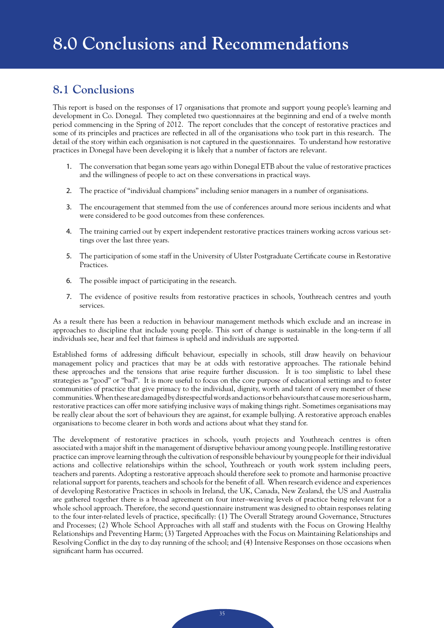## **8.1 Conclusions**

This report is based on the responses of 17 organisations that promote and support young people's learning and development in Co. Donegal. They completed two questionnaires at the beginning and end of a twelve month period commencing in the Spring of 2012. The report concludes that the concept of restorative practices and some of its principles and practices are reflected in all of the organisations who took part in this research. The detail of the story within each organisation is not captured in the questionnaires. To understand how restorative practices in Donegal have been developing it is likely that a number of factors are relevant.

- 1. The conversation that began some years ago within Donegal ETB about the value of restorative practices and the willingness of people to act on these conversations in practical ways.
- 2. The practice of "individual champions" including senior managers in a number of organisations.
- 3. The encouragement that stemmed from the use of conferences around more serious incidents and what were considered to be good outcomes from these conferences.
- 4. The training carried out by expert independent restorative practices trainers working across various settings over the last three years.
- 5. The participation of some staff in the University of Ulster Postgraduate Certificate course in Restorative Practices.
- 6. The possible impact of participating in the research.
- 7. The evidence of positive results from restorative practices in schools, Youthreach centres and youth services.

As a result there has been a reduction in behaviour management methods which exclude and an increase in approaches to discipline that include young people. This sort of change is sustainable in the long-term if all individuals see, hear and feel that fairness is upheld and individuals are supported.

Established forms of addressing difficult behaviour, especially in schools, still draw heavily on behaviour management policy and practices that may be at odds with restorative approaches. The rationale behind these approaches and the tensions that arise require further discussion. It is too simplistic to label these strategies as "good" or "bad". It is more useful to focus on the core purpose of educational settings and to foster communities of practice that give primacy to the individual, dignity, worth and talent of every member of these communities. When these are damaged by disrespectful words and actions or behaviours that cause more serious harm, restorative practices can offer more satisfying inclusive ways of making things right. Sometimes organisations may be really clear about the sort of behaviours they are against, for example bullying. A restorative approach enables organisations to become clearer in both words and actions about what they stand for.

The development of restorative practices in schools, youth projects and Youthreach centres is often associated with a major shift in the management of disruptive behaviour among young people. Instilling restorative practice can improve learning through the cultivation of responsible behaviour by young people for their individual actions and collective relationships within the school, Youthreach or youth work system including peers, teachers and parents. Adopting a restorative approach should therefore seek to promote and harmonise proactive relational support for parents, teachers and schools for the benefit of all. When research evidence and experiences of developing Restorative Practices in schools in Ireland, the UK, Canada, New Zealand, the US and Australia are gathered together there is a broad agreement on four inter–weaving levels of practice being relevant for a whole school approach. Therefore, the second questionnaire instrument was designed to obtain responses relating to the four inter-related levels of practice, specifically: (1) The Overall Strategy around Governance, Structures and Processes; (2) Whole School Approaches with all staff and students with the Focus on Growing Healthy Relationships and Preventing Harm; (3) Targeted Approaches with the Focus on Maintaining Relationships and Resolving Conflict in the day to day running of the school; and (4) Intensive Responses on those occasions when significant harm has occurred.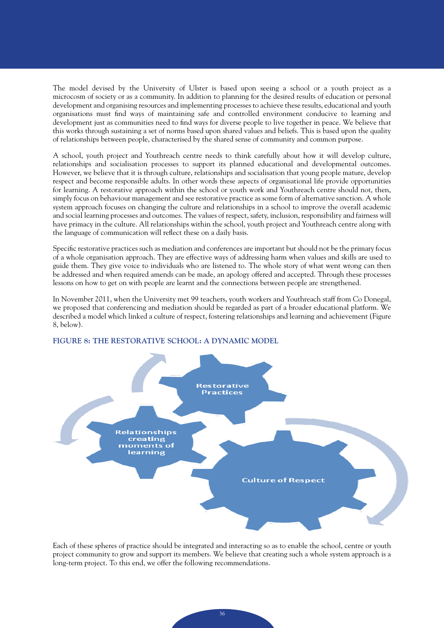The model devised by the University of Ulster is based upon seeing a school or a youth project as a microcosm of society or as a community. In addition to planning for the desired results of education or personal development and organising resources and implementing processes to achieve these results, educational and youth organisations must find ways of maintaining safe and controlled environment conducive to learning and development just as communities need to find ways for diverse people to live together in peace. We believe that this works through sustaining a set of norms based upon shared values and beliefs. This is based upon the quality of relationships between people, characterised by the shared sense of community and common purpose.

A school, youth project and Youthreach centre needs to think carefully about how it will develop culture, relationships and socialisation processes to support its planned educational and developmental outcomes. However, we believe that it is through culture, relationships and socialisation that young people mature, develop respect and become responsible adults. In other words these aspects of organisational life provide opportunities for learning. A restorative approach within the school or youth work and Youthreach centre should not, then, simply focus on behaviour management and see restorative practice as some form of alternative sanction. A whole system approach focuses on changing the culture and relationships in a school to improve the overall academic and social learning processes and outcomes. The values of respect, safety, inclusion, responsibility and fairness will have primacy in the culture. All relationships within the school, youth project and Youthreach centre along with the language of communication will reflect these on a daily basis.

Specific restorative practices such as mediation and conferences are important but should not be the primary focus of a whole organisation approach. They are effective ways of addressing harm when values and skills are used to guide them. They give voice to individuals who are listened to. The whole story of what went wrong can then be addressed and when required amends can be made, an apology offered and accepted. Through these processes lessons on how to get on with people are learnt and the connections between people are strengthened.

In November 2011, when the University met 99 teachers, youth workers and Youthreach staff from Co Donegal, we proposed that conferencing and mediation should be regarded as part of a broader educational platform. We described a model which linked a culture of respect, fostering relationships and learning and achievement (Figure 8, below).



#### **FIGURE 8: THE RESTORATIVE SCHOOL: A DYNAMIC MODEL**

Each of these spheres of practice should be integrated and interacting so as to enable the school, centre or youth project community to grow and support its members. We believe that creating such a whole system approach is a long-term project. To this end, we offer the following recommendations.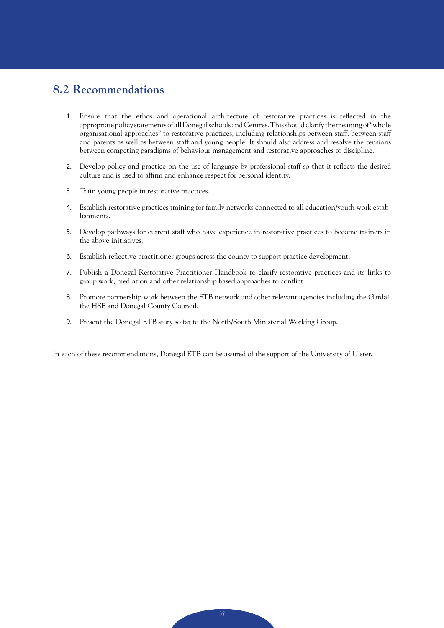## **8.2 Recommendations**

- 1. Ensure that the ethos and operational architecture of restorative practices is reflected in the appropriate policy statements of all Donegal schools and Centres. This should clarify the meaning of "whole organisational approaches" to restorative practices, including relationships between staff, between staff and parents as well as between staff and young people. It should also address and resolve the tensions between competing paradigms of behaviour management and restorative approaches to discipline.
- 2. Develop policy and practice on the use of language by professional staff so that it reflects the desired culture and is used to affirm and enhance respect for personal identity.
- 3. Train young people in restorative practices.
- 4. Establish restorative practices training for family networks connected to all education/youth work establishments.
- 5. Develop pathways for current staff who have experience in restorative practices to become trainers in the above initiatives.
- 6. Establish reflective practitioner groups across the county to support practice development.
- 7. Publish a Donegal Restorative Practitioner Handbook to clarify restorative practices and its links to group work, mediation and other relationship based approaches to conflict.
- 8. Promote partnership work between the ETB network and other relevant agencies including the Gardaí, the HSE and Donegal County Council.
- 9. Present the Donegal ETB story so far to the North/South Ministerial Working Group.

In each of these recommendations, Donegal ETB can be assured of the support of the University of Ulster.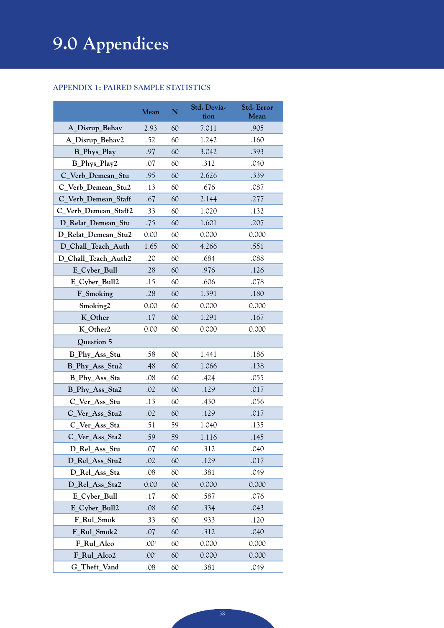# **9.0 Appendices**

### **Appendix 1: Paired Sample Statistics**

|                      | Mean               | $\overline{\mathbf{N}}$ | Std. Devia-<br>tion | Std. Error<br>Mean |
|----------------------|--------------------|-------------------------|---------------------|--------------------|
| A_Disrup_Behav       | 2.93               | 60                      | 7.011               | .905               |
| A_Disrup_Behav2      | .52                | 60                      | 1.242               | .160               |
| <b>B_Phys_Play</b>   | .97                | 60                      | 3.042               | .393               |
| B_Phys_Play2         | .07                | 60                      | .312                | .040               |
| C_Verb_Demean_Stu    | .95                | 60                      | 2.626               | .339               |
| C_Verb_Demean_Stu2   | .13                | 60                      | .676                | .087               |
| C_Verb_Demean_Staff  | .67                | 60                      | 2.144               | .277               |
| C_Verb_Demean_Staff2 | .33                | 60                      | 1.020               | .132               |
| D_Relat_Demean_Stu   | .75                | 60                      | 1.601               | .207               |
| D_Relat_Demean_Stu2  | 0.00               | 60                      | 0.000               | 0.000              |
| D_Chall_Teach_Auth   | 1.65               | 60                      | 4.266               | .551               |
| D_Chall_Teach_Auth2  | .20                | 60                      | .684                | .088               |
| E_Cyber_Bull         | .28                | 60                      | .976                | .126               |
| E_Cyber_Bull2        | .15                | 60                      | .606                | .078               |
| F_Smoking            | .28                | 60                      | 1.391               | .180               |
| Smoking2             | 0.00               | 60                      | 0.000               | 0.000              |
| K_Other              | .17                | 60                      | 1.291               | .167               |
| K_Other2             | 0.00               | 60                      | 0.000               | 0.000              |
| Question 5           |                    |                         |                     |                    |
| B_Phy_Ass_Stu        | .58                | 60                      | 1.441               | .186               |
| B_Phy_Ass_Stu2       | .48                | 60                      | 1.066               | .138               |
| B_Phy_Ass_Sta        | .08                | 60                      | .424                | .055               |
| B_Phy_Ass_Sta2       | .02                | 60                      | .129                | .017               |
| C_Ver_Ass_Stu        | .13                | 60                      | .430                | .056               |
| C_Ver_Ass_Stu2       | .02                | 60                      | .129                | .017               |
| C_Ver_Ass_Sta        | .51                | 59                      | 1.040               | .135               |
| C_Ver_Ass_Sta2       | .59                | 59                      | 1.116               | .145               |
| D_Rel_Ass_Stu        | .07                | 60                      | .312                | .040               |
| D_Rel_Ass_Stu2       | .02                | 60                      | .129                | .017               |
| D_Rel_Ass_Sta        | .08                | 60                      | .381                | .049               |
| D_Rel_Ass_Sta2       | 0.00               | 60                      | 0.000               | 0.000              |
| E_Cyber_Bull         | .17                | 60                      | .587                | .076               |
| E_Cyber_Bull2        | .08                | 60                      | .334                | .043               |
| F_Rul_Smok           | .33                | 60                      | .933                | .120               |
| F Rul Smok2          | .07                | 60                      | .312                | .040               |
| F_Rul_Alco           | .00 <sup>a</sup>   | 60                      | 0.000               | 0.000              |
| F_Rul_Alco2          | $.00^{\mathrm{a}}$ | 60                      | 0.000               | 0.000              |
| G_Theft_Vand         | .08                | 60                      | .381                | .049               |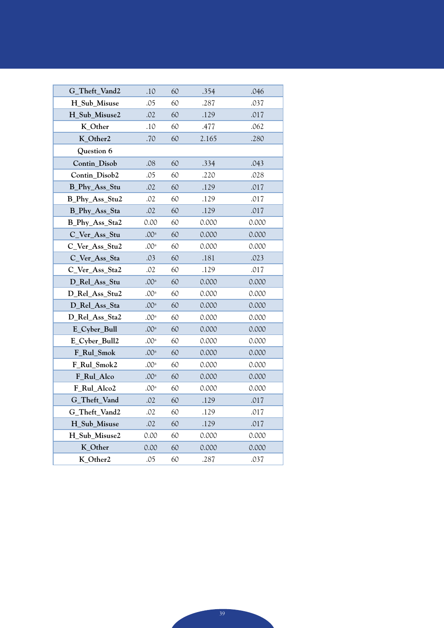| G_Theft_Vand2  | .10              | 60 | .354  | .046  |
|----------------|------------------|----|-------|-------|
| H Sub Misuse   | .05              | 60 | .287  | .037  |
| H Sub Misuse2  | .02              | 60 | .129  | .017  |
| K_Other        | .10              | 60 | .477  | .062  |
| K_Other2       | .70              | 60 | 2.165 | .280  |
| Question 6     |                  |    |       |       |
| Contin Disob   | .08              | 60 | .334  | .043  |
| Contin_Disob2  | .05              | 60 | .220  | .028  |
| B_Phy_Ass_Stu  | .02              | 60 | .129  | .017  |
| B_Phy_Ass_Stu2 | .02              | 60 | .129  | .017  |
| B_Phy_Ass_Sta  | .02              | 60 | .129  | .017  |
| B_Phy_Ass_Sta2 | 0.00             | 60 | 0.000 | 0.000 |
| C_Ver_Ass_Stu  | $.00^{\rm a}$    | 60 | 0.000 | 0.000 |
| C_Ver_Ass_Stu2 | .00 <sup>a</sup> | 60 | 0.000 | 0.000 |
| C_Ver_Ass_Sta  | .03              | 60 | .181  | .023  |
| C Ver Ass Sta2 | .02              | 60 | .129  | .017  |
| D_Rel_Ass_Stu  | .00 <sup>a</sup> | 60 | 0.000 | 0.000 |
| D_Rel_Ass_Stu2 | .00 <sup>a</sup> | 60 | 0.000 | 0.000 |
| D_Rel_Ass_Sta  | .00 <sup>a</sup> | 60 | 0.000 | 0.000 |
| D_Rel_Ass_Sta2 | .00 <sup>a</sup> | 60 | 0.000 | 0.000 |
| E_Cyber_Bull   | .00 <sup>a</sup> | 60 | 0.000 | 0.000 |
| E_Cyber_Bull2  | .00 <sup>a</sup> | 60 | 0.000 | 0.000 |
| F Rul Smok     | .00 <sup>a</sup> | 60 | 0.000 | 0.000 |
| F Rul Smok2    | .00 <sup>a</sup> | 60 | 0.000 | 0.000 |
| F_Rul_Alco     | .00 <sup>a</sup> | 60 | 0.000 | 0.000 |
| F_Rul_Alco2    | .00 <sup>a</sup> | 60 | 0.000 | 0.000 |
| G_Theft_Vand   | .02              | 60 | .129  | .017  |
| G_Theft_Vand2  | .02              | 60 | .129  | .017  |
| H Sub Misuse   | .02              | 60 | .129  | .017  |
| H_Sub_Misuse2  | 0.00             | 60 | 0.000 | 0.000 |
| K_Other        | 0.00             | 60 | 0.000 | 0.000 |
| K_Other2       | .05              | 60 | .287  | .037  |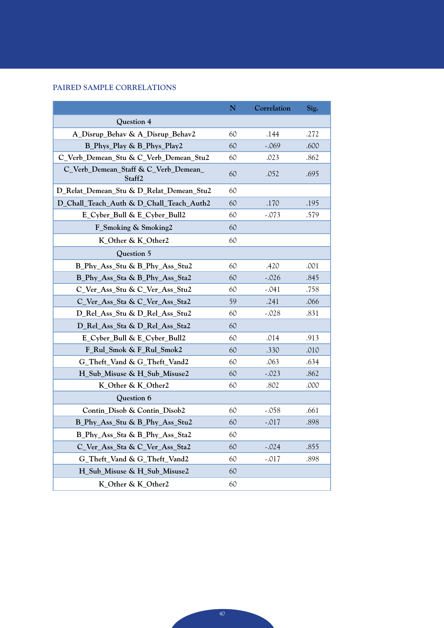### **Paired Sample Correlations**

|                                                | N  | Correlation | Sig. |
|------------------------------------------------|----|-------------|------|
| Question 4                                     |    |             |      |
| A_Disrup_Behav & A_Disrup_Behav2               | 60 | .144        | .272 |
| B_Phys_Play & B_Phys_Play2                     | 60 | -.069       | .600 |
| C_Verb_Demean_Stu & C_Verb_Demean_Stu2         | 60 | .023        | .862 |
| C_Verb_Demean_Staff & C_Verb_Demean_<br>Staff2 | 60 | .052        | .695 |
| D_Relat_Demean_Stu & D_Relat_Demean_Stu2       | 60 |             |      |
| D_Chall_Teach_Auth & D_Chall_Teach_Auth2       | 60 | .170        | .195 |
| E_Cyber_Bull & E_Cyber_Bull2                   | 60 | $-.073$     | .579 |
| F_Smoking & Smoking2                           | 60 |             |      |
| K_Other & K_Other2                             | 60 |             |      |
| Question 5                                     |    |             |      |
| B_Phy_Ass_Stu & B_Phy_Ass_Stu2                 | 60 | .420        | .001 |
| B_Phy_Ass_Sta & B_Phy_Ass_Sta2                 | 60 | -.026       | .845 |
| C_Ver_Ass_Stu & C_Ver_Ass_Stu2                 | 60 | -.041       | .758 |
| C_Ver_Ass_Sta & C_Ver_Ass_Sta2                 | 59 | .241        | .066 |
| D Rel Ass Stu & D Rel Ass Stu2                 | 60 | -.028       | .831 |
| D_Rel_Ass_Sta & D_Rel_Ass_Sta2                 | 60 |             |      |
| E_Cyber_Bull & E_Cyber_Bull2                   | 60 | .014        | .913 |
| F_Rul_Smok & F_Rul_Smok2                       | 60 | .330        | .010 |
| G_Theft_Vand & G_Theft_Vand2                   | 60 | .063        | .634 |
| H_Sub_Misuse & H_Sub_Misuse2                   | 60 | -.023       | .862 |
| K_Other & K_Other2                             | 60 | .802        | .000 |
| Question 6                                     |    |             |      |
| Contin_Disob & Contin_Disob2                   | 60 | -.058       | .661 |
| B_Phy_Ass_Stu & B_Phy_Ass_Stu2                 | 60 | $-.017$     | .898 |
| B_Phy_Ass_Sta & B_Phy_Ass_Sta2                 | 60 |             |      |
| C_Ver_Ass_Sta & C_Ver_Ass_Sta2                 | 60 | $-.024$     | .855 |
| G_Theft_Vand & G_Theft_Vand2                   | 60 | -.017       | .898 |
| H_Sub_Misuse & H_Sub_Misuse2                   | 60 |             |      |
| K_Other & K_Other2                             | 60 |             |      |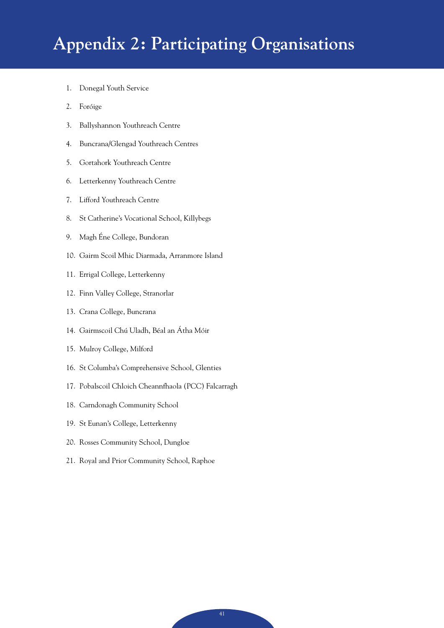## **Appendix 2: Participating Organisations**

- 1. Donegal Youth Service
- 2. Foróige
- 3. Ballyshannon Youthreach Centre
- 4. Buncrana/Glengad Youthreach Centres
- 5. Gortahork Youthreach Centre
- 6. Letterkenny Youthreach Centre
- 7. Lifford Youthreach Centre
- 8. St Catherine's Vocational School, Killybegs
- 9. Magh Éne College, Bundoran
- 10. Gairm Scoil Mhic Diarmada, Arranmore Island
- 11. Errigal College, Letterkenny
- 12. Finn Valley College, Stranorlar
- 13. Crana College, Buncrana
- 14. Gairmscoil Chú Uladh, Béal an Átha Móir
- 15. Mulroy College, Milford
- 16. St Columba's Comprehensive School, Glenties
- 17. Pobalscoil Chloich Cheannfhaola (PCC) Falcarragh
- 18. Carndonagh Community School
- 19. St Eunan's College, Letterkenny
- 20. Rosses Community School, Dungloe
- 21. Royal and Prior Community School, Raphoe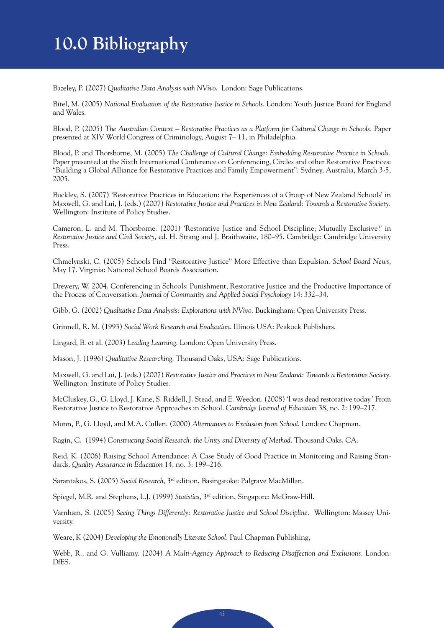## **10.0 Bibliography**

Bazeley, P. (2007) *Qualitative Data Analysis with NVivo*. London: Sage Publications.

Bitel, M. (2005) *National Evaluation of the Restorative Justice in Schools*. London: Youth Justice Board for England and Wales.

Blood, P. (2005) *The Australian Context – Restorative Practices as a Platform for Cultural Change in Schools*. Paper presented at XIV World Congress of Criminology, August 7– 11, in Philadelphia.

Blood, P. and Thorsborne, M. (2005) *The Challenge of Cultural Change: Embedding Restorative Practice in Schools.* Paper presented at the Sixth International Conference on Conferencing, Circles and other Restorative Practices: "Building a Global Alliance for Restorative Practices and Family Empowerment". Sydney, Australia, March 3-5, 2005.

Buckley, S. (2007) 'Restorative Practices in Education: the Experiences of a Group of New Zealand Schools' in Maxwell, G. and Lui, J. (eds.) (2007) *Restorative Justice and Practices in New Zealand: Towards a Restorative Society.*  Wellington: Institute of Policy Studies.

Cameron, L. and M. Thorsborne. (2001) 'Restorative Justice and School Discipline; Mutually Exclusive?' in *Restorative Justice and Civil Society*, ed. H. Strang and J. Braithwaite, 180–95. Cambridge: Cambridge University Press.

Chmelynski, C. (2005) Schools Find ''Restorative Justice'' More Effective than Expulsion. *School Board News*, May 17. Virginia: National School Boards Association.

Drewery, W. 2004. Conferencing in Schools: Punishment, Restorative Justice and the Productive Importance of the Process of Conversation. *Journal of Community and Applied Social Psychology* 14: 332–34.

Gibb, G. (2002) *Qualitative Data Analysis: Explorations with NVivo*. Buckingham: Open University Press.

Grinnell, R. M. (1993) *Social Work Research and Evaluation*. Illinois USA: Peakock Publishers.

Lingard, B. et al. (2003) *Leading Learning*. London: Open University Press.

Mason, J. (1996) *Qualitative Researching*. Thousand Oaks, USA: Sage Publications.

Maxwell, G. and Lui, J. (eds.) (2007) *Restorative Justice and Practices in New Zealand: Towards a Restorative Society*. Wellington: Institute of Policy Studies.

McCluskey, G., G. Lloyd, J. Kane, S. Riddell, J. Stead, and E. Weedon. (2008) 'I was dead restorative today.' From Restorative Justice to Restorative Approaches in School. *Cambridge Journal of Education* 38, no. 2: 199–217.

Munn, P., G. Lloyd, and M.A. Cullen. (2000) *Alternatives to Exclusion from School*. London: Chapman.

Ragin, C. (1994) *Constructing Social Research: the Unity and Diversity of Method*. Thousand Oaks. CA.

Reid, K. (2006) Raising School Attendance: A Case Study of Good Practice in Monitoring and Raising Standards. *Quality Assurance in Education* 14, no. 3: 199–216.

Sarantakos, S. (2005) *Social Research*, 3rd edition, Basingstoke: Palgrave MacMillan.

Spiegel, M.R. and Stephens, L.J. (1999) *Statistics*, 3rd edition, Singapore: McGraw-Hill.

Varnham, S. (2005) *Seeing Things Differently: Restorative Justice and School Discipline*. Wellington: Massey University.

Weare, K (2004) *Developing the Emotionally Literate School*. Paul Chapman Publishing,

Webb, R., and G. Vulliamy. (2004) *A Multi-Agency Approach to Reducing Disaffection and Exclusions*. London: DfES.